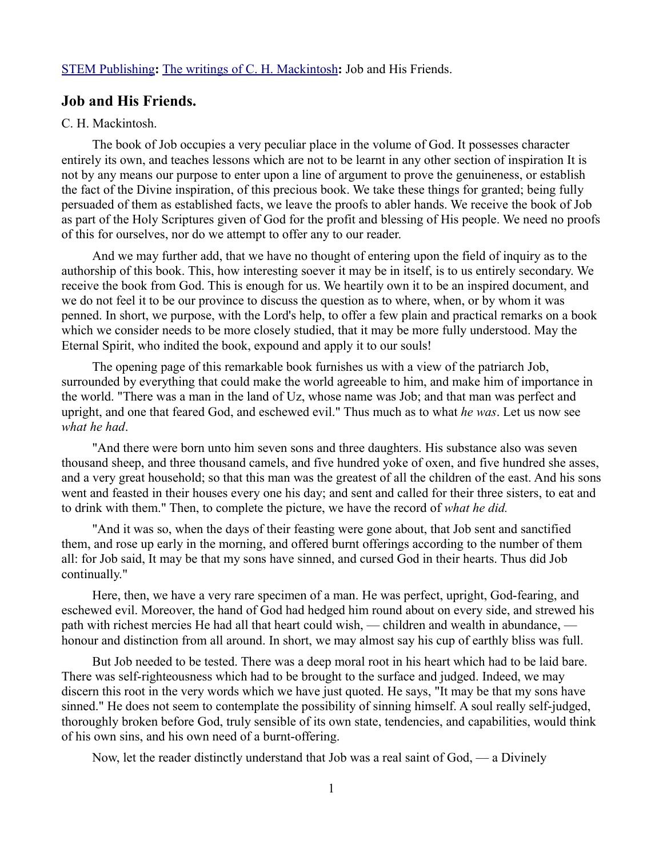## [STEM Publishing](http://www.stempublishing.com/)**:** [The writings of C. H. Mackintosh](http://www.stempublishing.com/authors/mackintosh/index.html)**:** Job and His Friends.

## **Job and His Friends.**

## C. H. Mackintosh.

The book of Job occupies a very peculiar place in the volume of God. It possesses character entirely its own, and teaches lessons which are not to be learnt in any other section of inspiration It is not by any means our purpose to enter upon a line of argument to prove the genuineness, or establish the fact of the Divine inspiration, of this precious book. We take these things for granted; being fully persuaded of them as established facts, we leave the proofs to abler hands. We receive the book of Job as part of the Holy Scriptures given of God for the profit and blessing of His people. We need no proofs of this for ourselves, nor do we attempt to offer any to our reader.

And we may further add, that we have no thought of entering upon the field of inquiry as to the authorship of this book. This, how interesting soever it may be in itself, is to us entirely secondary. We receive the book from God. This is enough for us. We heartily own it to be an inspired document, and we do not feel it to be our province to discuss the question as to where, when, or by whom it was penned. In short, we purpose, with the Lord's help, to offer a few plain and practical remarks on a book which we consider needs to be more closely studied, that it may be more fully understood. May the Eternal Spirit, who indited the book, expound and apply it to our souls!

The opening page of this remarkable book furnishes us with a view of the patriarch Job, surrounded by everything that could make the world agreeable to him, and make him of importance in the world. "There was a man in the land of Uz, whose name was Job; and that man was perfect and upright, and one that feared God, and eschewed evil." Thus much as to what *he was*. Let us now see *what he had*.

"And there were born unto him seven sons and three daughters. His substance also was seven thousand sheep, and three thousand camels, and five hundred yoke of oxen, and five hundred she asses, and a very great household; so that this man was the greatest of all the children of the east. And his sons went and feasted in their houses every one his day; and sent and called for their three sisters, to eat and to drink with them." Then, to complete the picture, we have the record of *what he did.*

"And it was so, when the days of their feasting were gone about, that Job sent and sanctified them, and rose up early in the morning, and offered burnt offerings according to the number of them all: for Job said, It may be that my sons have sinned, and cursed God in their hearts. Thus did Job continually."

Here, then, we have a very rare specimen of a man. He was perfect, upright, God-fearing, and eschewed evil. Moreover, the hand of God had hedged him round about on every side, and strewed his path with richest mercies He had all that heart could wish, — children and wealth in abundance, honour and distinction from all around. In short, we may almost say his cup of earthly bliss was full.

But Job needed to be tested. There was a deep moral root in his heart which had to be laid bare. There was self-righteousness which had to be brought to the surface and judged. Indeed, we may discern this root in the very words which we have just quoted. He says, "It may be that my sons have sinned." He does not seem to contemplate the possibility of sinning himself. A soul really self-judged, thoroughly broken before God, truly sensible of its own state, tendencies, and capabilities, would think of his own sins, and his own need of a burnt-offering.

Now, let the reader distinctly understand that Job was a real saint of God, — a Divinely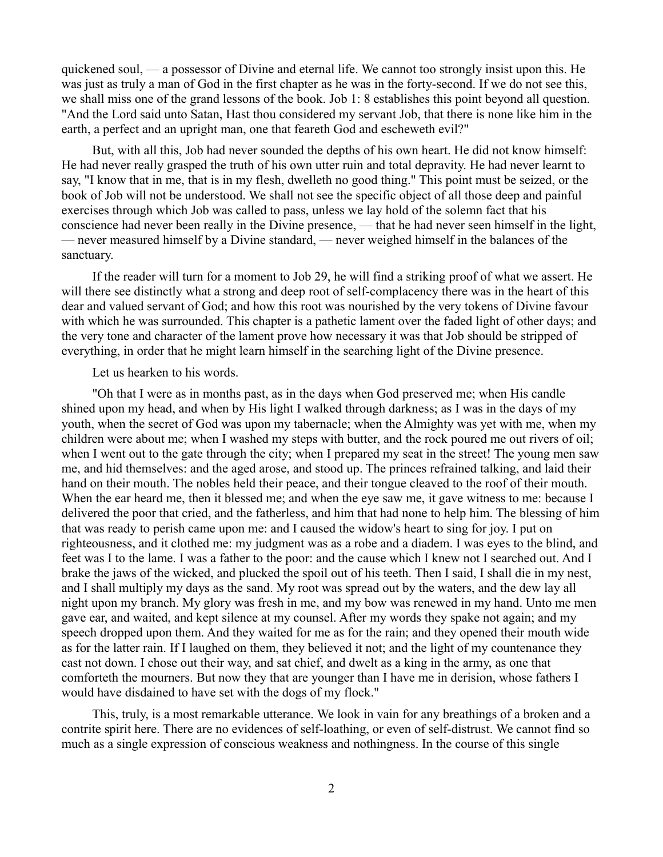quickened soul, — a possessor of Divine and eternal life. We cannot too strongly insist upon this. He was just as truly a man of God in the first chapter as he was in the forty-second. If we do not see this, we shall miss one of the grand lessons of the book. Job 1: 8 establishes this point beyond all question. "And the Lord said unto Satan, Hast thou considered my servant Job, that there is none like him in the earth, a perfect and an upright man, one that feareth God and escheweth evil?"

But, with all this, Job had never sounded the depths of his own heart. He did not know himself: He had never really grasped the truth of his own utter ruin and total depravity. He had never learnt to say, "I know that in me, that is in my flesh, dwelleth no good thing." This point must be seized, or the book of Job will not be understood. We shall not see the specific object of all those deep and painful exercises through which Job was called to pass, unless we lay hold of the solemn fact that his conscience had never been really in the Divine presence, — that he had never seen himself in the light, — never measured himself by a Divine standard, — never weighed himself in the balances of the sanctuary.

If the reader will turn for a moment to Job 29, he will find a striking proof of what we assert. He will there see distinctly what a strong and deep root of self-complacency there was in the heart of this dear and valued servant of God; and how this root was nourished by the very tokens of Divine favour with which he was surrounded. This chapter is a pathetic lament over the faded light of other days; and the very tone and character of the lament prove how necessary it was that Job should be stripped of everything, in order that he might learn himself in the searching light of the Divine presence.

Let us hearken to his words.

"Oh that I were as in months past, as in the days when God preserved me; when His candle shined upon my head, and when by His light I walked through darkness; as I was in the days of my youth, when the secret of God was upon my tabernacle; when the Almighty was yet with me, when my children were about me; when I washed my steps with butter, and the rock poured me out rivers of oil; when I went out to the gate through the city; when I prepared my seat in the street! The young men saw me, and hid themselves: and the aged arose, and stood up. The princes refrained talking, and laid their hand on their mouth. The nobles held their peace, and their tongue cleaved to the roof of their mouth. When the ear heard me, then it blessed me; and when the eye saw me, it gave witness to me: because I delivered the poor that cried, and the fatherless, and him that had none to help him. The blessing of him that was ready to perish came upon me: and I caused the widow's heart to sing for joy. I put on righteousness, and it clothed me: my judgment was as a robe and a diadem. I was eyes to the blind, and feet was I to the lame. I was a father to the poor: and the cause which I knew not I searched out. And I brake the jaws of the wicked, and plucked the spoil out of his teeth. Then I said, I shall die in my nest, and I shall multiply my days as the sand. My root was spread out by the waters, and the dew lay all night upon my branch. My glory was fresh in me, and my bow was renewed in my hand. Unto me men gave ear, and waited, and kept silence at my counsel. After my words they spake not again; and my speech dropped upon them. And they waited for me as for the rain; and they opened their mouth wide as for the latter rain. If I laughed on them, they believed it not; and the light of my countenance they cast not down. I chose out their way, and sat chief, and dwelt as a king in the army, as one that comforteth the mourners. But now they that are younger than I have me in derision, whose fathers I would have disdained to have set with the dogs of my flock."

This, truly, is a most remarkable utterance. We look in vain for any breathings of a broken and a contrite spirit here. There are no evidences of self-loathing, or even of self-distrust. We cannot find so much as a single expression of conscious weakness and nothingness. In the course of this single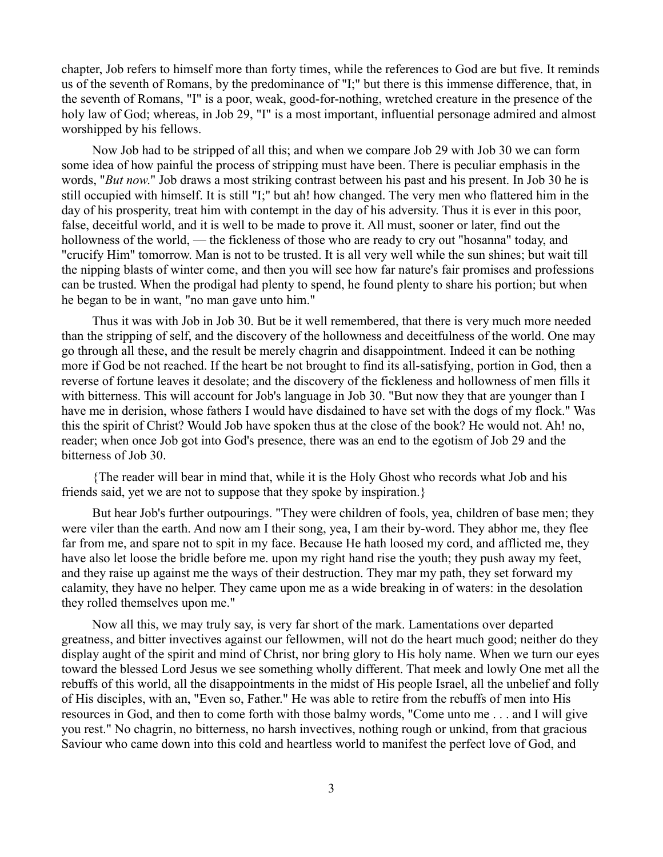chapter, Job refers to himself more than forty times, while the references to God are but five. It reminds us of the seventh of Romans, by the predominance of "I;" but there is this immense difference, that, in the seventh of Romans, "I" is a poor, weak, good-for-nothing, wretched creature in the presence of the holy law of God; whereas, in Job 29, "I" is a most important, influential personage admired and almost worshipped by his fellows.

Now Job had to be stripped of all this; and when we compare Job 29 with Job 30 we can form some idea of how painful the process of stripping must have been. There is peculiar emphasis in the words, "*But now*." Job draws a most striking contrast between his past and his present. In Job 30 he is still occupied with himself. It is still "I;" but ah! how changed. The very men who flattered him in the day of his prosperity, treat him with contempt in the day of his adversity. Thus it is ever in this poor, false, deceitful world, and it is well to be made to prove it. All must, sooner or later, find out the hollowness of the world, — the fickleness of those who are ready to cry out "hosanna" today, and "crucify Him" tomorrow. Man is not to be trusted. It is all very well while the sun shines; but wait till the nipping blasts of winter come, and then you will see how far nature's fair promises and professions can be trusted. When the prodigal had plenty to spend, he found plenty to share his portion; but when he began to be in want, "no man gave unto him."

Thus it was with Job in Job 30. But be it well remembered, that there is very much more needed than the stripping of self, and the discovery of the hollowness and deceitfulness of the world. One may go through all these, and the result be merely chagrin and disappointment. Indeed it can be nothing more if God be not reached. If the heart be not brought to find its all-satisfying, portion in God, then a reverse of fortune leaves it desolate; and the discovery of the fickleness and hollowness of men fills it with bitterness. This will account for Job's language in Job 30. "But now they that are younger than I have me in derision, whose fathers I would have disdained to have set with the dogs of my flock." Was this the spirit of Christ? Would Job have spoken thus at the close of the book? He would not. Ah! no, reader; when once Job got into God's presence, there was an end to the egotism of Job 29 and the bitterness of Job 30.

{The reader will bear in mind that, while it is the Holy Ghost who records what Job and his friends said, yet we are not to suppose that they spoke by inspiration.}

But hear Job's further outpourings. "They were children of fools, yea, children of base men; they were viler than the earth. And now am I their song, yea, I am their by-word. They abhor me, they flee far from me, and spare not to spit in my face. Because He hath loosed my cord, and afflicted me, they have also let loose the bridle before me. upon my right hand rise the youth; they push away my feet, and they raise up against me the ways of their destruction. They mar my path, they set forward my calamity, they have no helper. They came upon me as a wide breaking in of waters: in the desolation they rolled themselves upon me."

Now all this, we may truly say, is very far short of the mark. Lamentations over departed greatness, and bitter invectives against our fellowmen, will not do the heart much good; neither do they display aught of the spirit and mind of Christ, nor bring glory to His holy name. When we turn our eyes toward the blessed Lord Jesus we see something wholly different. That meek and lowly One met all the rebuffs of this world, all the disappointments in the midst of His people Israel, all the unbelief and folly of His disciples, with an, "Even so, Father." He was able to retire from the rebuffs of men into His resources in God, and then to come forth with those balmy words, "Come unto me . . . and I will give you rest." No chagrin, no bitterness, no harsh invectives, nothing rough or unkind, from that gracious Saviour who came down into this cold and heartless world to manifest the perfect love of God, and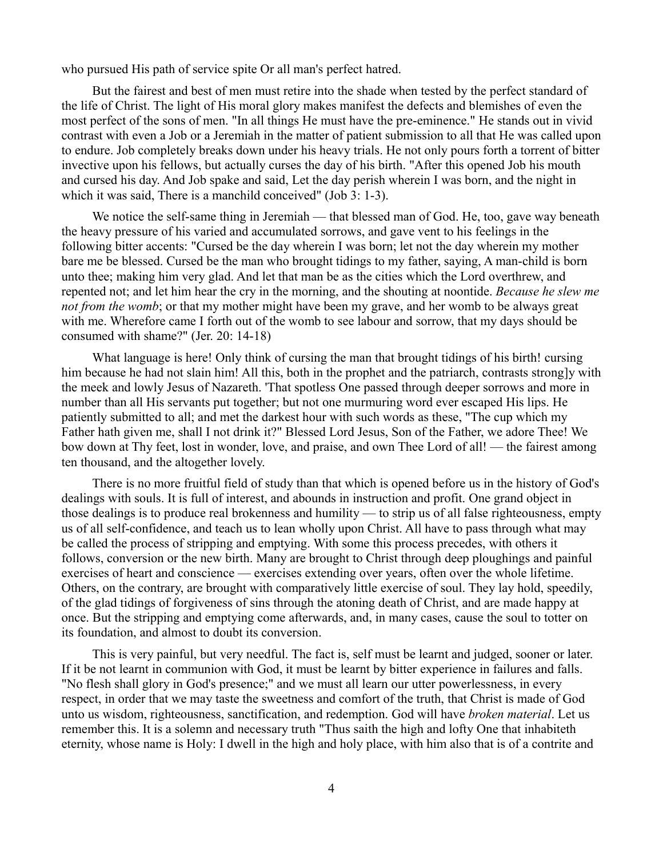who pursued His path of service spite Or all man's perfect hatred.

But the fairest and best of men must retire into the shade when tested by the perfect standard of the life of Christ. The light of His moral glory makes manifest the defects and blemishes of even the most perfect of the sons of men. "In all things He must have the pre-eminence." He stands out in vivid contrast with even a Job or a Jeremiah in the matter of patient submission to all that He was called upon to endure. Job completely breaks down under his heavy trials. He not only pours forth a torrent of bitter invective upon his fellows, but actually curses the day of his birth. "After this opened Job his mouth and cursed his day. And Job spake and said, Let the day perish wherein I was born, and the night in which it was said, There is a manchild conceived" (Job 3: 1-3).

We notice the self-same thing in Jeremiah — that blessed man of God. He, too, gave way beneath the heavy pressure of his varied and accumulated sorrows, and gave vent to his feelings in the following bitter accents: "Cursed be the day wherein I was born; let not the day wherein my mother bare me be blessed. Cursed be the man who brought tidings to my father, saying, A man-child is born unto thee; making him very glad. And let that man be as the cities which the Lord overthrew, and repented not; and let him hear the cry in the morning, and the shouting at noontide. *Because he slew me not from the womb*; or that my mother might have been my grave, and her womb to be always great with me. Wherefore came I forth out of the womb to see labour and sorrow, that my days should be consumed with shame?" (Jer. 20: 14-18)

What language is here! Only think of cursing the man that brought tidings of his birth! cursing him because he had not slain him! All this, both in the prophet and the patriarch, contrasts strong]y with the meek and lowly Jesus of Nazareth. 'That spotless One passed through deeper sorrows and more in number than all His servants put together; but not one murmuring word ever escaped His lips. He patiently submitted to all; and met the darkest hour with such words as these, "The cup which my Father hath given me, shall I not drink it?" Blessed Lord Jesus, Son of the Father, we adore Thee! We bow down at Thy feet, lost in wonder, love, and praise, and own Thee Lord of all! — the fairest among ten thousand, and the altogether lovely.

There is no more fruitful field of study than that which is opened before us in the history of God's dealings with souls. It is full of interest, and abounds in instruction and profit. One grand object in those dealings is to produce real brokenness and humility — to strip us of all false righteousness, empty us of all self-confidence, and teach us to lean wholly upon Christ. All have to pass through what may be called the process of stripping and emptying. With some this process precedes, with others it follows, conversion or the new birth. Many are brought to Christ through deep ploughings and painful exercises of heart and conscience — exercises extending over years, often over the whole lifetime. Others, on the contrary, are brought with comparatively little exercise of soul. They lay hold, speedily, of the glad tidings of forgiveness of sins through the atoning death of Christ, and are made happy at once. But the stripping and emptying come afterwards, and, in many cases, cause the soul to totter on its foundation, and almost to doubt its conversion.

This is very painful, but very needful. The fact is, self must be learnt and judged, sooner or later. If it be not learnt in communion with God, it must be learnt by bitter experience in failures and falls. "No flesh shall glory in God's presence;" and we must all learn our utter powerlessness, in every respect, in order that we may taste the sweetness and comfort of the truth, that Christ is made of God unto us wisdom, righteousness, sanctification, and redemption. God will have *broken material*. Let us remember this. It is a solemn and necessary truth "Thus saith the high and lofty One that inhabiteth eternity, whose name is Holy: I dwell in the high and holy place, with him also that is of a contrite and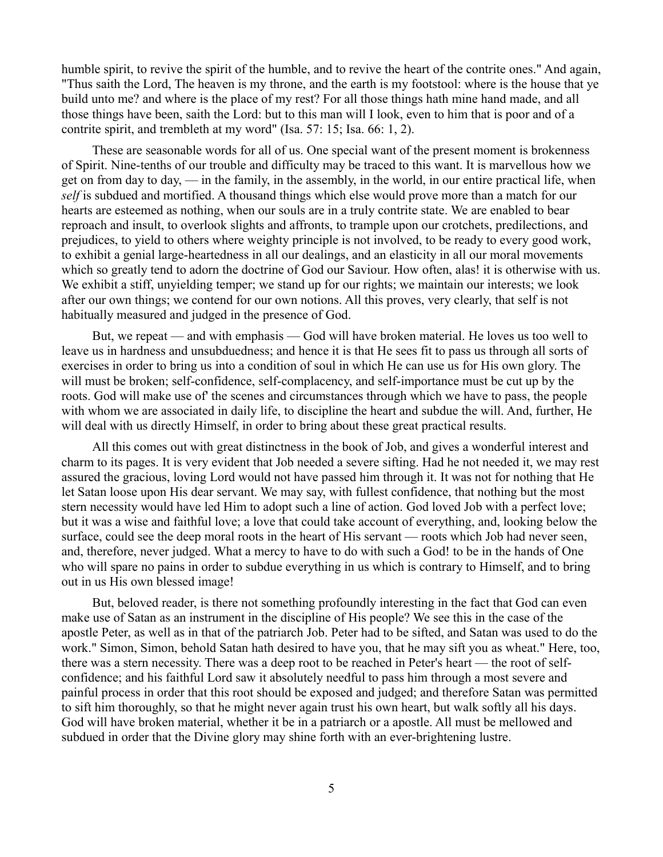humble spirit, to revive the spirit of the humble, and to revive the heart of the contrite ones." And again, "Thus saith the Lord, The heaven is my throne, and the earth is my footstool: where is the house that ye build unto me? and where is the place of my rest? For all those things hath mine hand made, and all those things have been, saith the Lord: but to this man will I look, even to him that is poor and of a contrite spirit, and trembleth at my word" (Isa. 57: 15; Isa. 66: 1, 2).

These are seasonable words for all of us. One special want of the present moment is brokenness of Spirit. Nine-tenths of our trouble and difficulty may be traced to this want. It is marvellous how we get on from day to day,  $\frac{d}{dx}$  in the family, in the assembly, in the world, in our entire practical life, when *self* is subdued and mortified. A thousand things which else would prove more than a match for our hearts are esteemed as nothing, when our souls are in a truly contrite state. We are enabled to bear reproach and insult, to overlook slights and affronts, to trample upon our crotchets, predilections, and prejudices, to yield to others where weighty principle is not involved, to be ready to every good work, to exhibit a genial large-heartedness in all our dealings, and an elasticity in all our moral movements which so greatly tend to adorn the doctrine of God our Saviour. How often, alas! it is otherwise with us. We exhibit a stiff, unyielding temper; we stand up for our rights; we maintain our interests; we look after our own things; we contend for our own notions. All this proves, very clearly, that self is not habitually measured and judged in the presence of God.

But, we repeat — and with emphasis — God will have broken material. He loves us too well to leave us in hardness and unsubduedness; and hence it is that He sees fit to pass us through all sorts of exercises in order to bring us into a condition of soul in which He can use us for His own glory. The will must be broken; self-confidence, self-complacency, and self-importance must be cut up by the roots. God will make use of' the scenes and circumstances through which we have to pass, the people with whom we are associated in daily life, to discipline the heart and subdue the will. And, further, He will deal with us directly Himself, in order to bring about these great practical results.

All this comes out with great distinctness in the book of Job, and gives a wonderful interest and charm to its pages. It is very evident that Job needed a severe sifting. Had he not needed it, we may rest assured the gracious, loving Lord would not have passed him through it. It was not for nothing that He let Satan loose upon His dear servant. We may say, with fullest confidence, that nothing but the most stern necessity would have led Him to adopt such a line of action. God loved Job with a perfect love; but it was a wise and faithful love; a love that could take account of everything, and, looking below the surface, could see the deep moral roots in the heart of His servant — roots which Job had never seen, and, therefore, never judged. What a mercy to have to do with such a God! to be in the hands of One who will spare no pains in order to subdue everything in us which is contrary to Himself, and to bring out in us His own blessed image!

But, beloved reader, is there not something profoundly interesting in the fact that God can even make use of Satan as an instrument in the discipline of His people? We see this in the case of the apostle Peter, as well as in that of the patriarch Job. Peter had to be sifted, and Satan was used to do the work." Simon, Simon, behold Satan hath desired to have you, that he may sift you as wheat." Here, too, there was a stern necessity. There was a deep root to be reached in Peter's heart — the root of selfconfidence; and his faithful Lord saw it absolutely needful to pass him through a most severe and painful process in order that this root should be exposed and judged; and therefore Satan was permitted to sift him thoroughly, so that he might never again trust his own heart, but walk softly all his days. God will have broken material, whether it be in a patriarch or a apostle. All must be mellowed and subdued in order that the Divine glory may shine forth with an ever-brightening lustre.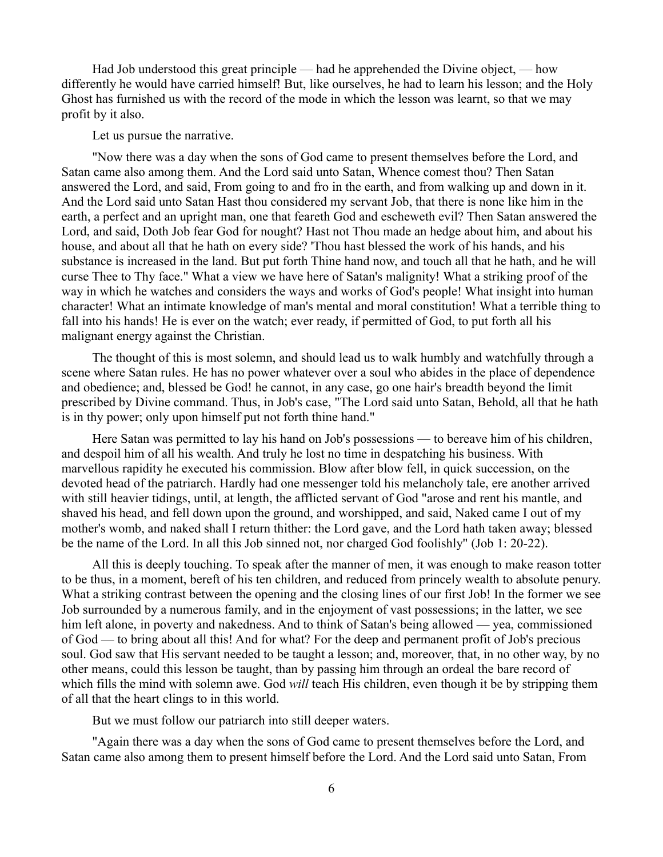Had Job understood this great principle — had he apprehended the Divine object, — how differently he would have carried himself! But, like ourselves, he had to learn his lesson; and the Holy Ghost has furnished us with the record of the mode in which the lesson was learnt, so that we may profit by it also.

## Let us pursue the narrative.

"Now there was a day when the sons of God came to present themselves before the Lord, and Satan came also among them. And the Lord said unto Satan, Whence comest thou? Then Satan answered the Lord, and said, From going to and fro in the earth, and from walking up and down in it. And the Lord said unto Satan Hast thou considered my servant Job, that there is none like him in the earth, a perfect and an upright man, one that feareth God and escheweth evil? Then Satan answered the Lord, and said, Doth Job fear God for nought? Hast not Thou made an hedge about him, and about his house, and about all that he hath on every side? 'Thou hast blessed the work of his hands, and his substance is increased in the land. But put forth Thine hand now, and touch all that he hath, and he will curse Thee to Thy face." What a view we have here of Satan's malignity! What a striking proof of the way in which he watches and considers the ways and works of God's people! What insight into human character! What an intimate knowledge of man's mental and moral constitution! What a terrible thing to fall into his hands! He is ever on the watch; ever ready, if permitted of God, to put forth all his malignant energy against the Christian.

The thought of this is most solemn, and should lead us to walk humbly and watchfully through a scene where Satan rules. He has no power whatever over a soul who abides in the place of dependence and obedience; and, blessed be God! he cannot, in any case, go one hair's breadth beyond the limit prescribed by Divine command. Thus, in Job's case, "The Lord said unto Satan, Behold, all that he hath is in thy power; only upon himself put not forth thine hand."

Here Satan was permitted to lay his hand on Job's possessions — to bereave him of his children, and despoil him of all his wealth. And truly he lost no time in despatching his business. With marvellous rapidity he executed his commission. Blow after blow fell, in quick succession, on the devoted head of the patriarch. Hardly had one messenger told his melancholy tale, ere another arrived with still heavier tidings, until, at length, the afflicted servant of God "arose and rent his mantle, and shaved his head, and fell down upon the ground, and worshipped, and said, Naked came I out of my mother's womb, and naked shall I return thither: the Lord gave, and the Lord hath taken away; blessed be the name of the Lord. In all this Job sinned not, nor charged God foolishly" (Job 1: 20-22).

All this is deeply touching. To speak after the manner of men, it was enough to make reason totter to be thus, in a moment, bereft of his ten children, and reduced from princely wealth to absolute penury. What a striking contrast between the opening and the closing lines of our first Job! In the former we see Job surrounded by a numerous family, and in the enjoyment of vast possessions; in the latter, we see him left alone, in poverty and nakedness. And to think of Satan's being allowed — yea, commissioned of God — to bring about all this! And for what? For the deep and permanent profit of Job's precious soul. God saw that His servant needed to be taught a lesson; and, moreover, that, in no other way, by no other means, could this lesson be taught, than by passing him through an ordeal the bare record of which fills the mind with solemn awe. God *will* teach His children, even though it be by stripping them of all that the heart clings to in this world.

But we must follow our patriarch into still deeper waters.

"Again there was a day when the sons of God came to present themselves before the Lord, and Satan came also among them to present himself before the Lord. And the Lord said unto Satan, From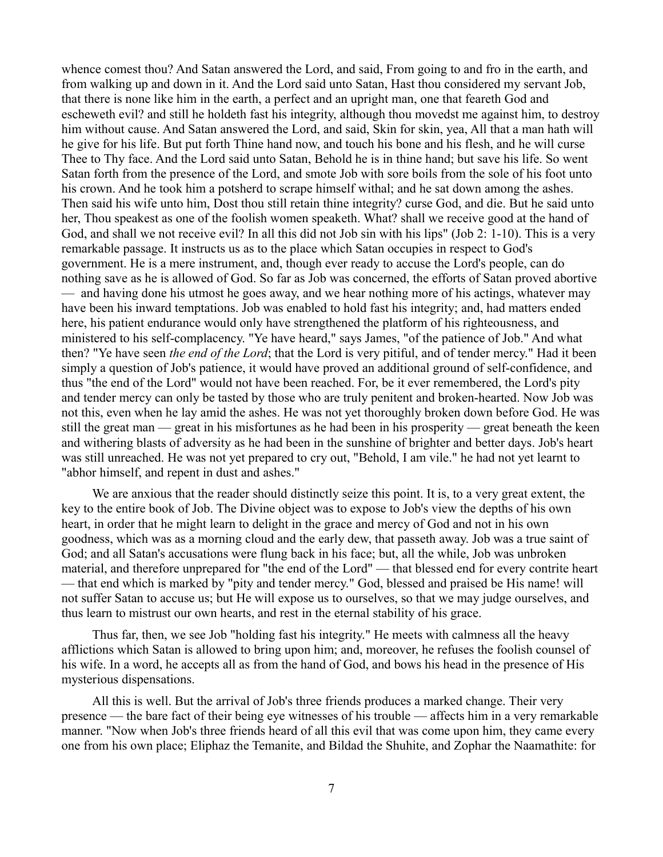whence comest thou? And Satan answered the Lord, and said, From going to and fro in the earth, and from walking up and down in it. And the Lord said unto Satan, Hast thou considered my servant Job, that there is none like him in the earth, a perfect and an upright man, one that feareth God and escheweth evil? and still he holdeth fast his integrity, although thou movedst me against him, to destroy him without cause. And Satan answered the Lord, and said, Skin for skin, yea, All that a man hath will he give for his life. But put forth Thine hand now, and touch his bone and his flesh, and he will curse Thee to Thy face. And the Lord said unto Satan, Behold he is in thine hand; but save his life. So went Satan forth from the presence of the Lord, and smote Job with sore boils from the sole of his foot unto his crown. And he took him a potsherd to scrape himself withal; and he sat down among the ashes. Then said his wife unto him, Dost thou still retain thine integrity? curse God, and die. But he said unto her, Thou speakest as one of the foolish women speaketh. What? shall we receive good at the hand of God, and shall we not receive evil? In all this did not Job sin with his lips" (Job 2: 1-10). This is a very remarkable passage. It instructs us as to the place which Satan occupies in respect to God's government. He is a mere instrument, and, though ever ready to accuse the Lord's people, can do nothing save as he is allowed of God. So far as Job was concerned, the efforts of Satan proved abortive — and having done his utmost he goes away, and we hear nothing more of his actings, whatever may have been his inward temptations. Job was enabled to hold fast his integrity; and, had matters ended here, his patient endurance would only have strengthened the platform of his righteousness, and ministered to his self-complacency. "Ye have heard," says James, "of the patience of Job." And what then? "Ye have seen *the end of the Lord*; that the Lord is very pitiful, and of tender mercy." Had it been simply a question of Job's patience, it would have proved an additional ground of self-confidence, and thus "the end of the Lord" would not have been reached. For, be it ever remembered, the Lord's pity and tender mercy can only be tasted by those who are truly penitent and broken-hearted. Now Job was not this, even when he lay amid the ashes. He was not yet thoroughly broken down before God. He was still the great man — great in his misfortunes as he had been in his prosperity — great beneath the keen and withering blasts of adversity as he had been in the sunshine of brighter and better days. Job's heart was still unreached. He was not yet prepared to cry out, "Behold, I am vile." he had not yet learnt to "abhor himself, and repent in dust and ashes."

We are anxious that the reader should distinctly seize this point. It is, to a very great extent, the key to the entire book of Job. The Divine object was to expose to Job's view the depths of his own heart, in order that he might learn to delight in the grace and mercy of God and not in his own goodness, which was as a morning cloud and the early dew, that passeth away. Job was a true saint of God; and all Satan's accusations were flung back in his face; but, all the while, Job was unbroken material, and therefore unprepared for "the end of the Lord" — that blessed end for every contrite heart — that end which is marked by "pity and tender mercy." God, blessed and praised be His name! will not suffer Satan to accuse us; but He will expose us to ourselves, so that we may judge ourselves, and thus learn to mistrust our own hearts, and rest in the eternal stability of his grace.

Thus far, then, we see Job "holding fast his integrity." He meets with calmness all the heavy afflictions which Satan is allowed to bring upon him; and, moreover, he refuses the foolish counsel of his wife. In a word, he accepts all as from the hand of God, and bows his head in the presence of His mysterious dispensations.

All this is well. But the arrival of Job's three friends produces a marked change. Their very presence — the bare fact of their being eye witnesses of his trouble — affects him in a very remarkable manner. "Now when Job's three friends heard of all this evil that was come upon him, they came every one from his own place; Eliphaz the Temanite, and Bildad the Shuhite, and Zophar the Naamathite: for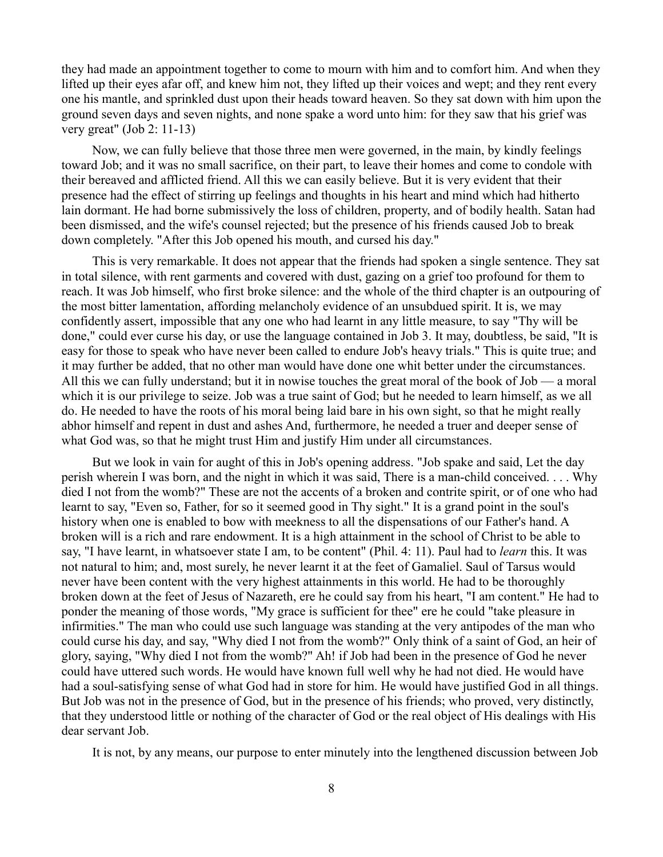they had made an appointment together to come to mourn with him and to comfort him. And when they lifted up their eyes afar off, and knew him not, they lifted up their voices and wept; and they rent every one his mantle, and sprinkled dust upon their heads toward heaven. So they sat down with him upon the ground seven days and seven nights, and none spake a word unto him: for they saw that his grief was very great" (Job 2: 11-13)

Now, we can fully believe that those three men were governed, in the main, by kindly feelings toward Job; and it was no small sacrifice, on their part, to leave their homes and come to condole with their bereaved and afflicted friend. All this we can easily believe. But it is very evident that their presence had the effect of stirring up feelings and thoughts in his heart and mind which had hitherto lain dormant. He had borne submissively the loss of children, property, and of bodily health. Satan had been dismissed, and the wife's counsel rejected; but the presence of his friends caused Job to break down completely. "After this Job opened his mouth, and cursed his day."

This is very remarkable. It does not appear that the friends had spoken a single sentence. They sat in total silence, with rent garments and covered with dust, gazing on a grief too profound for them to reach. It was Job himself, who first broke silence: and the whole of the third chapter is an outpouring of the most bitter lamentation, affording melancholy evidence of an unsubdued spirit. It is, we may confidently assert, impossible that any one who had learnt in any little measure, to say "Thy will be done," could ever curse his day, or use the language contained in Job 3. It may, doubtless, be said, "It is easy for those to speak who have never been called to endure Job's heavy trials." This is quite true; and it may further be added, that no other man would have done one whit better under the circumstances. All this we can fully understand; but it in nowise touches the great moral of the book of Job — a moral which it is our privilege to seize. Job was a true saint of God; but he needed to learn himself, as we all do. He needed to have the roots of his moral being laid bare in his own sight, so that he might really abhor himself and repent in dust and ashes And, furthermore, he needed a truer and deeper sense of what God was, so that he might trust Him and justify Him under all circumstances.

But we look in vain for aught of this in Job's opening address. "Job spake and said, Let the day perish wherein I was born, and the night in which it was said, There is a man-child conceived. . . . Why died I not from the womb?" These are not the accents of a broken and contrite spirit, or of one who had learnt to say, "Even so, Father, for so it seemed good in Thy sight." It is a grand point in the soul's history when one is enabled to bow with meekness to all the dispensations of our Father's hand. A broken will is a rich and rare endowment. It is a high attainment in the school of Christ to be able to say, "I have learnt, in whatsoever state I am, to be content" (Phil. 4: 11). Paul had to *learn* this. It was not natural to him; and, most surely, he never learnt it at the feet of Gamaliel. Saul of Tarsus would never have been content with the very highest attainments in this world. He had to be thoroughly broken down at the feet of Jesus of Nazareth, ere he could say from his heart, "I am content." He had to ponder the meaning of those words, "My grace is sufficient for thee" ere he could "take pleasure in infirmities." The man who could use such language was standing at the very antipodes of the man who could curse his day, and say, "Why died I not from the womb?" Only think of a saint of God, an heir of glory, saying, "Why died I not from the womb?" Ah! if Job had been in the presence of God he never could have uttered such words. He would have known full well why he had not died. He would have had a soul-satisfying sense of what God had in store for him. He would have justified God in all things. But Job was not in the presence of God, but in the presence of his friends; who proved, very distinctly, that they understood little or nothing of the character of God or the real object of His dealings with His dear servant Job.

It is not, by any means, our purpose to enter minutely into the lengthened discussion between Job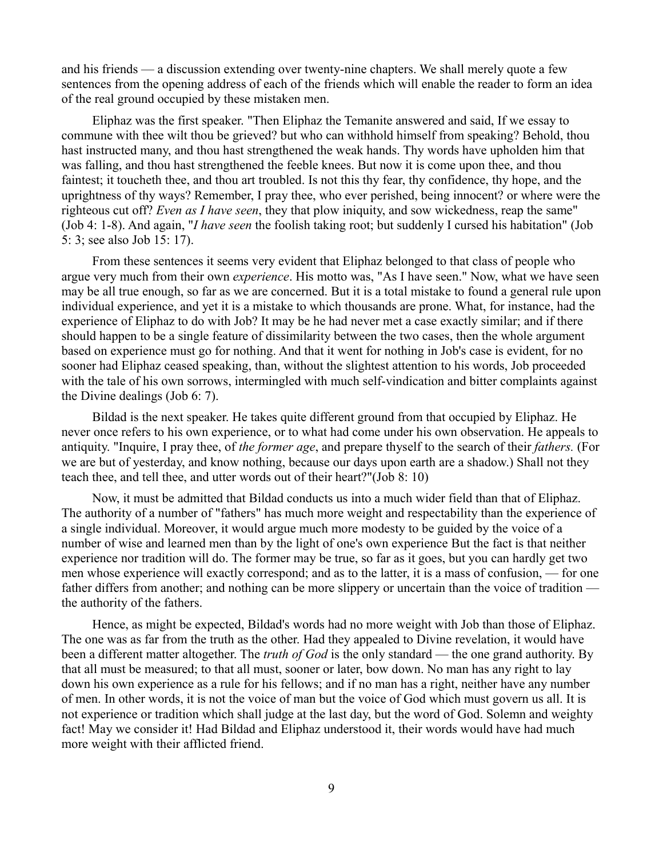and his friends — a discussion extending over twenty-nine chapters. We shall merely quote a few sentences from the opening address of each of the friends which will enable the reader to form an idea of the real ground occupied by these mistaken men.

Eliphaz was the first speaker. "Then Eliphaz the Temanite answered and said, If we essay to commune with thee wilt thou be grieved? but who can withhold himself from speaking? Behold, thou hast instructed many, and thou hast strengthened the weak hands. Thy words have upholden him that was falling, and thou hast strengthened the feeble knees. But now it is come upon thee, and thou faintest; it toucheth thee, and thou art troubled. Is not this thy fear, thy confidence, thy hope, and the uprightness of thy ways? Remember, I pray thee, who ever perished, being innocent? or where were the righteous cut off? *Even as I have seen*, they that plow iniquity, and sow wickedness, reap the same" (Job 4: 1-8). And again, "*I have seen* the foolish taking root; but suddenly I cursed his habitation" (Job 5: 3; see also Job 15: 17).

From these sentences it seems very evident that Eliphaz belonged to that class of people who argue very much from their own *experience*. His motto was, "As I have seen." Now, what we have seen may be all true enough, so far as we are concerned. But it is a total mistake to found a general rule upon individual experience, and yet it is a mistake to which thousands are prone. What, for instance, had the experience of Eliphaz to do with Job? It may be he had never met a case exactly similar; and if there should happen to be a single feature of dissimilarity between the two cases, then the whole argument based on experience must go for nothing. And that it went for nothing in Job's case is evident, for no sooner had Eliphaz ceased speaking, than, without the slightest attention to his words, Job proceeded with the tale of his own sorrows, intermingled with much self-vindication and bitter complaints against the Divine dealings (Job 6: 7).

Bildad is the next speaker. He takes quite different ground from that occupied by Eliphaz. He never once refers to his own experience, or to what had come under his own observation. He appeals to antiquity. "Inquire, I pray thee, of *the former age*, and prepare thyself to the search of their *fathers.* (For we are but of yesterday, and know nothing, because our days upon earth are a shadow.) Shall not they teach thee, and tell thee, and utter words out of their heart?"(Job 8: 10)

Now, it must be admitted that Bildad conducts us into a much wider field than that of Eliphaz. The authority of a number of "fathers" has much more weight and respectability than the experience of a single individual. Moreover, it would argue much more modesty to be guided by the voice of a number of wise and learned men than by the light of one's own experience But the fact is that neither experience nor tradition will do. The former may be true, so far as it goes, but you can hardly get two men whose experience will exactly correspond; and as to the latter, it is a mass of confusion, — for one father differs from another; and nothing can be more slippery or uncertain than the voice of tradition the authority of the fathers.

Hence, as might be expected, Bildad's words had no more weight with Job than those of Eliphaz. The one was as far from the truth as the other. Had they appealed to Divine revelation, it would have been a different matter altogether. The *truth of God* is the only standard — the one grand authority. By that all must be measured; to that all must, sooner or later, bow down. No man has any right to lay down his own experience as a rule for his fellows; and if no man has a right, neither have any number of men. In other words, it is not the voice of man but the voice of God which must govern us all. It is not experience or tradition which shall judge at the last day, but the word of God. Solemn and weighty fact! May we consider it! Had Bildad and Eliphaz understood it, their words would have had much more weight with their afflicted friend.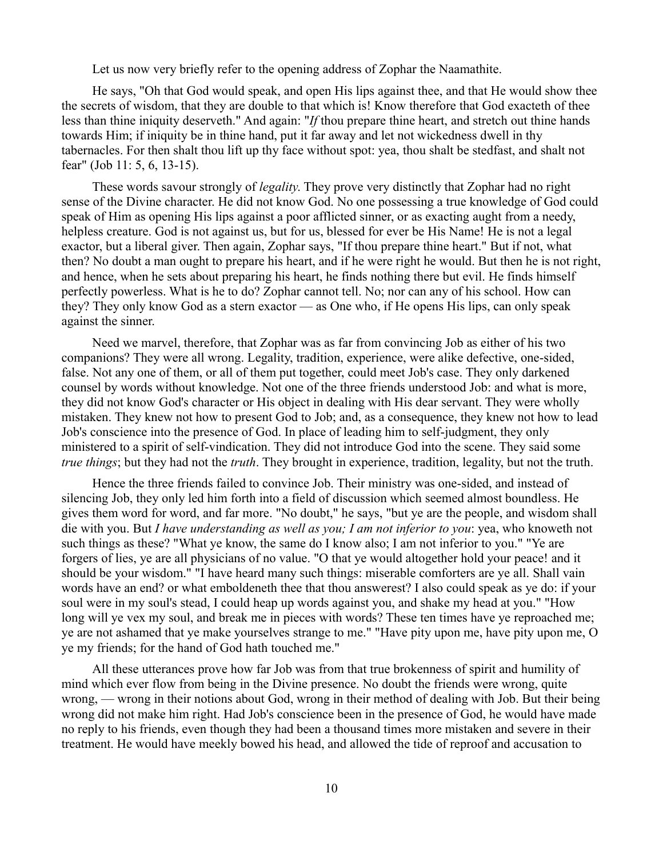Let us now very briefly refer to the opening address of Zophar the Naamathite.

He says, "Oh that God would speak, and open His lips against thee, and that He would show thee the secrets of wisdom, that they are double to that which is! Know therefore that God exacteth of thee less than thine iniquity deserveth." And again: "*If* thou prepare thine heart, and stretch out thine hands towards Him; if iniquity be in thine hand, put it far away and let not wickedness dwell in thy tabernacles. For then shalt thou lift up thy face without spot: yea, thou shalt be stedfast, and shalt not fear" (Job 11: 5, 6, 13-15).

These words savour strongly of *legality*. They prove very distinctly that Zophar had no right sense of the Divine character. He did not know God. No one possessing a true knowledge of God could speak of Him as opening His lips against a poor afflicted sinner, or as exacting aught from a needy, helpless creature. God is not against us, but for us, blessed for ever be His Name! He is not a legal exactor, but a liberal giver. Then again, Zophar says, "If thou prepare thine heart." But if not, what then? No doubt a man ought to prepare his heart, and if he were right he would. But then he is not right, and hence, when he sets about preparing his heart, he finds nothing there but evil. He finds himself perfectly powerless. What is he to do? Zophar cannot tell. No; nor can any of his school. How can they? They only know God as a stern exactor — as One who, if He opens His lips, can only speak against the sinner.

Need we marvel, therefore, that Zophar was as far from convincing Job as either of his two companions? They were all wrong. Legality, tradition, experience, were alike defective, one-sided, false. Not any one of them, or all of them put together, could meet Job's case. They only darkened counsel by words without knowledge. Not one of the three friends understood Job: and what is more, they did not know God's character or His object in dealing with His dear servant. They were wholly mistaken. They knew not how to present God to Job; and, as a consequence, they knew not how to lead Job's conscience into the presence of God. In place of leading him to self-judgment, they only ministered to a spirit of self-vindication. They did not introduce God into the scene. They said some *true things*; but they had not the *truth*. They brought in experience, tradition, legality, but not the truth.

Hence the three friends failed to convince Job. Their ministry was one-sided, and instead of silencing Job, they only led him forth into a field of discussion which seemed almost boundless. He gives them word for word, and far more. "No doubt," he says, "but ye are the people, and wisdom shall die with you. But *I have understanding as well as you; I am not inferior to you*: yea, who knoweth not such things as these? "What ye know, the same do I know also; I am not inferior to you." "Ye are forgers of lies, ye are all physicians of no value. "O that ye would altogether hold your peace! and it should be your wisdom." "I have heard many such things: miserable comforters are ye all. Shall vain words have an end? or what emboldeneth thee that thou answerest? I also could speak as ye do: if your soul were in my soul's stead, I could heap up words against you, and shake my head at you." "How long will ye vex my soul, and break me in pieces with words? These ten times have ye reproached me; ye are not ashamed that ye make yourselves strange to me." "Have pity upon me, have pity upon me, O ye my friends; for the hand of God hath touched me."

All these utterances prove how far Job was from that true brokenness of spirit and humility of mind which ever flow from being in the Divine presence. No doubt the friends were wrong, quite wrong, — wrong in their notions about God, wrong in their method of dealing with Job. But their being wrong did not make him right. Had Job's conscience been in the presence of God, he would have made no reply to his friends, even though they had been a thousand times more mistaken and severe in their treatment. He would have meekly bowed his head, and allowed the tide of reproof and accusation to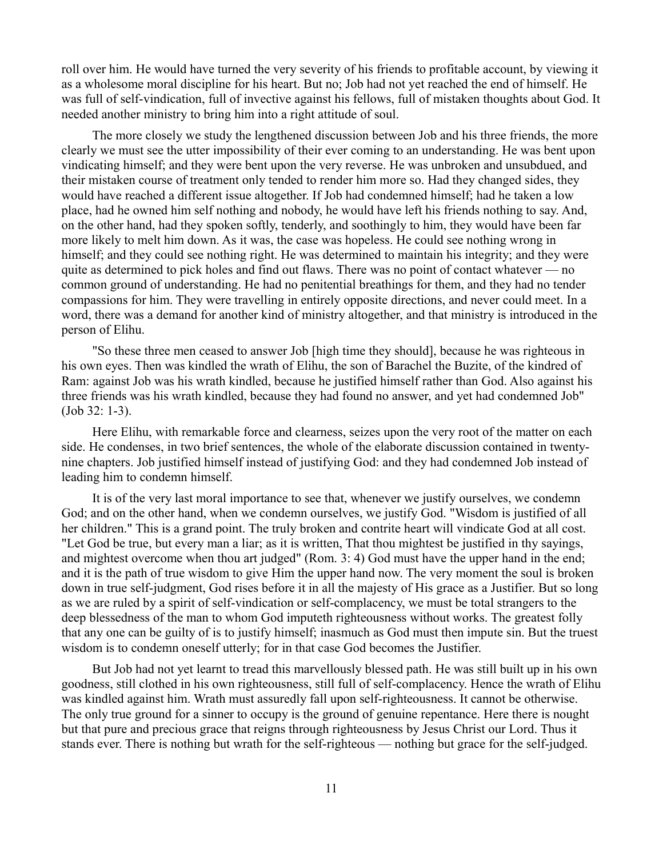roll over him. He would have turned the very severity of his friends to profitable account, by viewing it as a wholesome moral discipline for his heart. But no; Job had not yet reached the end of himself. He was full of self-vindication, full of invective against his fellows, full of mistaken thoughts about God. It needed another ministry to bring him into a right attitude of soul.

The more closely we study the lengthened discussion between Job and his three friends, the more clearly we must see the utter impossibility of their ever coming to an understanding. He was bent upon vindicating himself; and they were bent upon the very reverse. He was unbroken and unsubdued, and their mistaken course of treatment only tended to render him more so. Had they changed sides, they would have reached a different issue altogether. If Job had condemned himself; had he taken a low place, had he owned him self nothing and nobody, he would have left his friends nothing to say. And, on the other hand, had they spoken softly, tenderly, and soothingly to him, they would have been far more likely to melt him down. As it was, the case was hopeless. He could see nothing wrong in himself; and they could see nothing right. He was determined to maintain his integrity; and they were quite as determined to pick holes and find out flaws. There was no point of contact whatever — no common ground of understanding. He had no penitential breathings for them, and they had no tender compassions for him. They were travelling in entirely opposite directions, and never could meet. In a word, there was a demand for another kind of ministry altogether, and that ministry is introduced in the person of Elihu.

"So these three men ceased to answer Job [high time they should], because he was righteous in his own eyes. Then was kindled the wrath of Elihu, the son of Barachel the Buzite, of the kindred of Ram: against Job was his wrath kindled, because he justified himself rather than God. Also against his three friends was his wrath kindled, because they had found no answer, and yet had condemned Job" (Job 32: 1-3).

Here Elihu, with remarkable force and clearness, seizes upon the very root of the matter on each side. He condenses, in two brief sentences, the whole of the elaborate discussion contained in twentynine chapters. Job justified himself instead of justifying God: and they had condemned Job instead of leading him to condemn himself.

It is of the very last moral importance to see that, whenever we justify ourselves, we condemn God; and on the other hand, when we condemn ourselves, we justify God. "Wisdom is justified of all her children." This is a grand point. The truly broken and contrite heart will vindicate God at all cost. "Let God be true, but every man a liar; as it is written, That thou mightest be justified in thy sayings, and mightest overcome when thou art judged" (Rom. 3: 4) God must have the upper hand in the end; and it is the path of true wisdom to give Him the upper hand now. The very moment the soul is broken down in true self-judgment, God rises before it in all the majesty of His grace as a Justifier. But so long as we are ruled by a spirit of self-vindication or self-complacency, we must be total strangers to the deep blessedness of the man to whom God imputeth righteousness without works. The greatest folly that any one can be guilty of is to justify himself; inasmuch as God must then impute sin. But the truest wisdom is to condemn oneself utterly; for in that case God becomes the Justifier.

But Job had not yet learnt to tread this marvellously blessed path. He was still built up in his own goodness, still clothed in his own righteousness, still full of self-complacency. Hence the wrath of Elihu was kindled against him. Wrath must assuredly fall upon self-righteousness. It cannot be otherwise. The only true ground for a sinner to occupy is the ground of genuine repentance. Here there is nought but that pure and precious grace that reigns through righteousness by Jesus Christ our Lord. Thus it stands ever. There is nothing but wrath for the self-righteous — nothing but grace for the self-judged.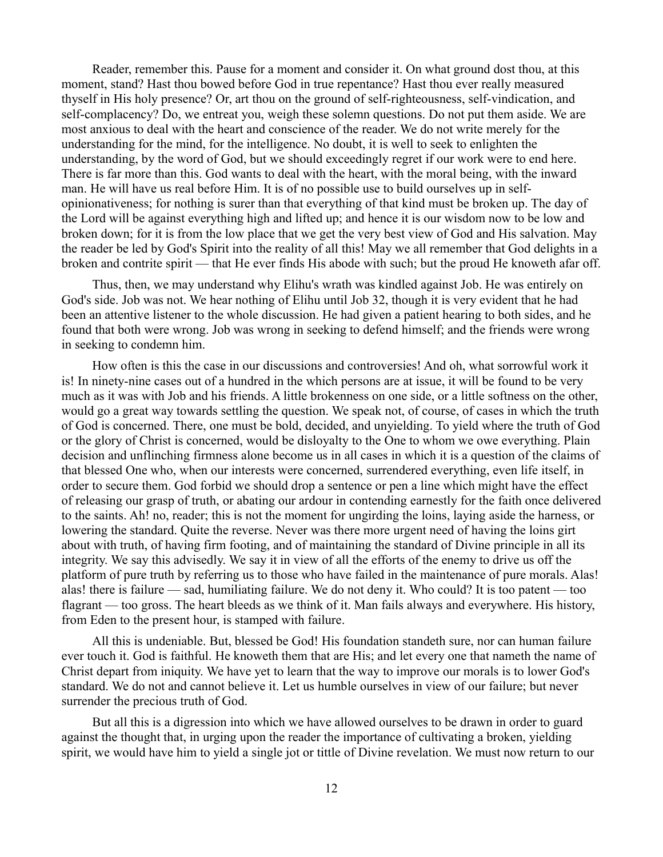Reader, remember this. Pause for a moment and consider it. On what ground dost thou, at this moment, stand? Hast thou bowed before God in true repentance? Hast thou ever really measured thyself in His holy presence? Or, art thou on the ground of self-righteousness, self-vindication, and self-complacency? Do, we entreat you, weigh these solemn questions. Do not put them aside. We are most anxious to deal with the heart and conscience of the reader. We do not write merely for the understanding for the mind, for the intelligence. No doubt, it is well to seek to enlighten the understanding, by the word of God, but we should exceedingly regret if our work were to end here. There is far more than this. God wants to deal with the heart, with the moral being, with the inward man. He will have us real before Him. It is of no possible use to build ourselves up in selfopinionativeness; for nothing is surer than that everything of that kind must be broken up. The day of the Lord will be against everything high and lifted up; and hence it is our wisdom now to be low and broken down; for it is from the low place that we get the very best view of God and His salvation. May the reader be led by God's Spirit into the reality of all this! May we all remember that God delights in a broken and contrite spirit — that He ever finds His abode with such; but the proud He knoweth afar off.

Thus, then, we may understand why Elihu's wrath was kindled against Job. He was entirely on God's side. Job was not. We hear nothing of Elihu until Job 32, though it is very evident that he had been an attentive listener to the whole discussion. He had given a patient hearing to both sides, and he found that both were wrong. Job was wrong in seeking to defend himself; and the friends were wrong in seeking to condemn him.

How often is this the case in our discussions and controversies! And oh, what sorrowful work it is! In ninety-nine cases out of a hundred in the which persons are at issue, it will be found to be very much as it was with Job and his friends. A little brokenness on one side, or a little softness on the other, would go a great way towards settling the question. We speak not, of course, of cases in which the truth of God is concerned. There, one must be bold, decided, and unyielding. To yield where the truth of God or the glory of Christ is concerned, would be disloyalty to the One to whom we owe everything. Plain decision and unflinching firmness alone become us in all cases in which it is a question of the claims of that blessed One who, when our interests were concerned, surrendered everything, even life itself, in order to secure them. God forbid we should drop a sentence or pen a line which might have the effect of releasing our grasp of truth, or abating our ardour in contending earnestly for the faith once delivered to the saints. Ah! no, reader; this is not the moment for ungirding the loins, laying aside the harness, or lowering the standard. Quite the reverse. Never was there more urgent need of having the loins girt about with truth, of having firm footing, and of maintaining the standard of Divine principle in all its integrity. We say this advisedly. We say it in view of all the efforts of the enemy to drive us off the platform of pure truth by referring us to those who have failed in the maintenance of pure morals. Alas! alas! there is failure — sad, humiliating failure. We do not deny it. Who could? It is too patent — too flagrant — too gross. The heart bleeds as we think of it. Man fails always and everywhere. His history, from Eden to the present hour, is stamped with failure.

All this is undeniable. But, blessed be God! His foundation standeth sure, nor can human failure ever touch it. God is faithful. He knoweth them that are His; and let every one that nameth the name of Christ depart from iniquity. We have yet to learn that the way to improve our morals is to lower God's standard. We do not and cannot believe it. Let us humble ourselves in view of our failure; but never surrender the precious truth of God.

But all this is a digression into which we have allowed ourselves to be drawn in order to guard against the thought that, in urging upon the reader the importance of cultivating a broken, yielding spirit, we would have him to yield a single jot or tittle of Divine revelation. We must now return to our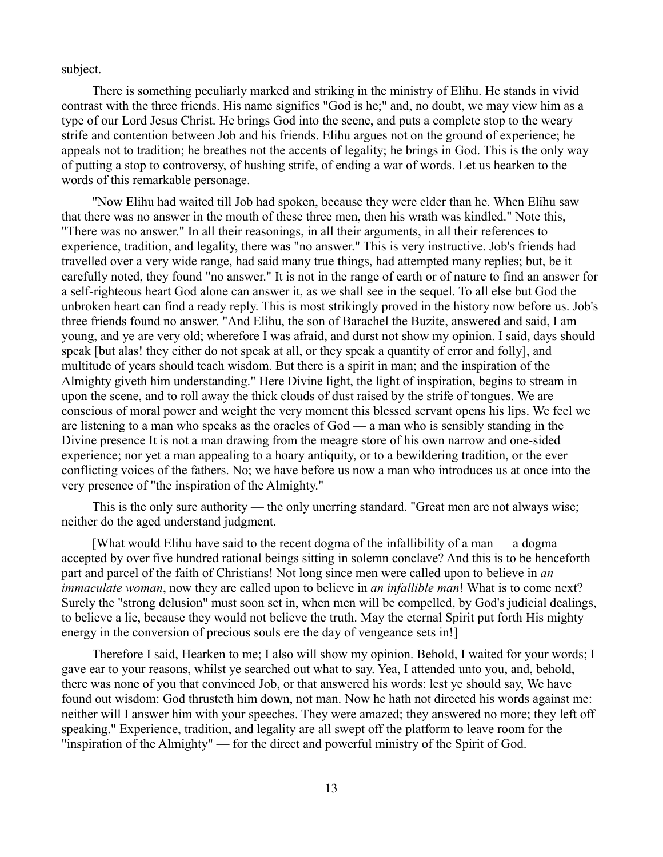subject.

There is something peculiarly marked and striking in the ministry of Elihu. He stands in vivid contrast with the three friends. His name signifies "God is he;" and, no doubt, we may view him as a type of our Lord Jesus Christ. He brings God into the scene, and puts a complete stop to the weary strife and contention between Job and his friends. Elihu argues not on the ground of experience; he appeals not to tradition; he breathes not the accents of legality; he brings in God. This is the only way of putting a stop to controversy, of hushing strife, of ending a war of words. Let us hearken to the words of this remarkable personage.

"Now Elihu had waited till Job had spoken, because they were elder than he. When Elihu saw that there was no answer in the mouth of these three men, then his wrath was kindled." Note this, "There was no answer." In all their reasonings, in all their arguments, in all their references to experience, tradition, and legality, there was "no answer." This is very instructive. Job's friends had travelled over a very wide range, had said many true things, had attempted many replies; but, be it carefully noted, they found "no answer." It is not in the range of earth or of nature to find an answer for a self-righteous heart God alone can answer it, as we shall see in the sequel. To all else but God the unbroken heart can find a ready reply. This is most strikingly proved in the history now before us. Job's three friends found no answer. "And Elihu, the son of Barachel the Buzite, answered and said, I am young, and ye are very old; wherefore I was afraid, and durst not show my opinion. I said, days should speak [but alas! they either do not speak at all, or they speak a quantity of error and folly], and multitude of years should teach wisdom. But there is a spirit in man; and the inspiration of the Almighty giveth him understanding." Here Divine light, the light of inspiration, begins to stream in upon the scene, and to roll away the thick clouds of dust raised by the strife of tongues. We are conscious of moral power and weight the very moment this blessed servant opens his lips. We feel we are listening to a man who speaks as the oracles of God — a man who is sensibly standing in the Divine presence It is not a man drawing from the meagre store of his own narrow and one-sided experience; nor yet a man appealing to a hoary antiquity, or to a bewildering tradition, or the ever conflicting voices of the fathers. No; we have before us now a man who introduces us at once into the very presence of "the inspiration of the Almighty."

This is the only sure authority — the only unerring standard. "Great men are not always wise; neither do the aged understand judgment.

[What would Elihu have said to the recent dogma of the infallibility of a man — a dogma accepted by over five hundred rational beings sitting in solemn conclave? And this is to be henceforth part and parcel of the faith of Christians! Not long since men were called upon to believe in *an immaculate woman*, now they are called upon to believe in *an infallible man*! What is to come next? Surely the "strong delusion" must soon set in, when men will be compelled, by God's judicial dealings, to believe a lie, because they would not believe the truth. May the eternal Spirit put forth His mighty energy in the conversion of precious souls ere the day of vengeance sets in!]

Therefore I said, Hearken to me; I also will show my opinion. Behold, I waited for your words; I gave ear to your reasons, whilst ye searched out what to say. Yea, I attended unto you, and, behold, there was none of you that convinced Job, or that answered his words: lest ye should say, We have found out wisdom: God thrusteth him down, not man. Now he hath not directed his words against me: neither will I answer him with your speeches. They were amazed; they answered no more; they left off speaking." Experience, tradition, and legality are all swept off the platform to leave room for the "inspiration of the Almighty" — for the direct and powerful ministry of the Spirit of God.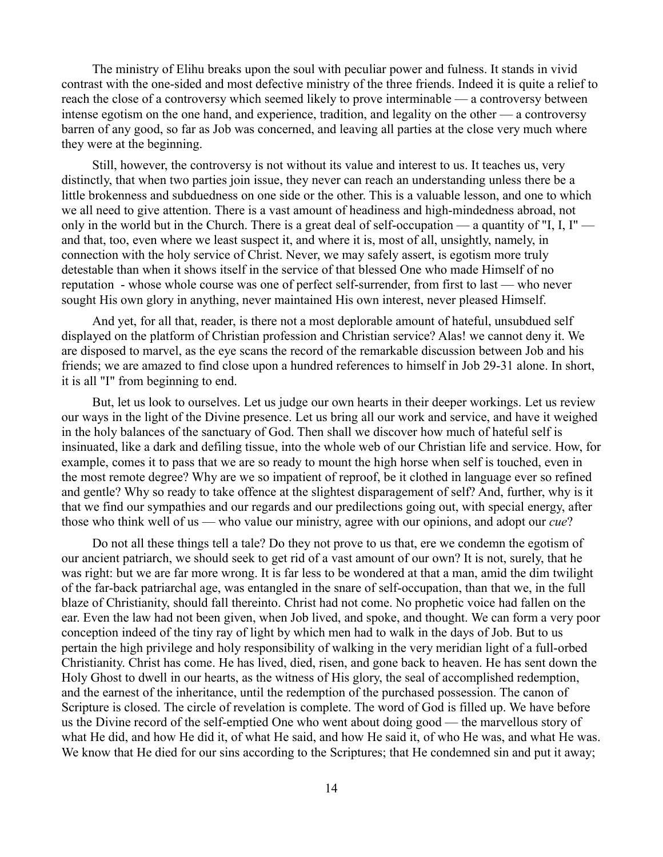The ministry of Elihu breaks upon the soul with peculiar power and fulness. It stands in vivid contrast with the one-sided and most defective ministry of the three friends. Indeed it is quite a relief to reach the close of a controversy which seemed likely to prove interminable — a controversy between intense egotism on the one hand, and experience, tradition, and legality on the other — a controversy barren of any good, so far as Job was concerned, and leaving all parties at the close very much where they were at the beginning.

Still, however, the controversy is not without its value and interest to us. It teaches us, very distinctly, that when two parties join issue, they never can reach an understanding unless there be a little brokenness and subduedness on one side or the other. This is a valuable lesson, and one to which we all need to give attention. There is a vast amount of headiness and high-mindedness abroad, not only in the world but in the Church. There is a great deal of self-occupation — a quantity of "I, I, I" and that, too, even where we least suspect it, and where it is, most of all, unsightly, namely, in connection with the holy service of Christ. Never, we may safely assert, is egotism more truly detestable than when it shows itself in the service of that blessed One who made Himself of no reputation - whose whole course was one of perfect self-surrender, from first to last — who never sought His own glory in anything, never maintained His own interest, never pleased Himself.

And yet, for all that, reader, is there not a most deplorable amount of hateful, unsubdued self displayed on the platform of Christian profession and Christian service? Alas! we cannot deny it. We are disposed to marvel, as the eye scans the record of the remarkable discussion between Job and his friends; we are amazed to find close upon a hundred references to himself in Job 29-31 alone. In short, it is all "I" from beginning to end.

But, let us look to ourselves. Let us judge our own hearts in their deeper workings. Let us review our ways in the light of the Divine presence. Let us bring all our work and service, and have it weighed in the holy balances of the sanctuary of God. Then shall we discover how much of hateful self is insinuated, like a dark and defiling tissue, into the whole web of our Christian life and service. How, for example, comes it to pass that we are so ready to mount the high horse when self is touched, even in the most remote degree? Why are we so impatient of reproof, be it clothed in language ever so refined and gentle? Why so ready to take offence at the slightest disparagement of self? And, further, why is it that we find our sympathies and our regards and our predilections going out, with special energy, after those who think well of us — who value our ministry, agree with our opinions, and adopt our *cue*?

Do not all these things tell a tale? Do they not prove to us that, ere we condemn the egotism of our ancient patriarch, we should seek to get rid of a vast amount of our own? It is not, surely, that he was right: but we are far more wrong. It is far less to be wondered at that a man, amid the dim twilight of the far-back patriarchal age, was entangled in the snare of self-occupation, than that we, in the full blaze of Christianity, should fall thereinto. Christ had not come. No prophetic voice had fallen on the ear. Even the law had not been given, when Job lived, and spoke, and thought. We can form a very poor conception indeed of the tiny ray of light by which men had to walk in the days of Job. But to us pertain the high privilege and holy responsibility of walking in the very meridian light of a full-orbed Christianity. Christ has come. He has lived, died, risen, and gone back to heaven. He has sent down the Holy Ghost to dwell in our hearts, as the witness of His glory, the seal of accomplished redemption, and the earnest of the inheritance, until the redemption of the purchased possession. The canon of Scripture is closed. The circle of revelation is complete. The word of God is filled up. We have before us the Divine record of the self-emptied One who went about doing good — the marvellous story of what He did, and how He did it, of what He said, and how He said it, of who He was, and what He was. We know that He died for our sins according to the Scriptures; that He condemned sin and put it away;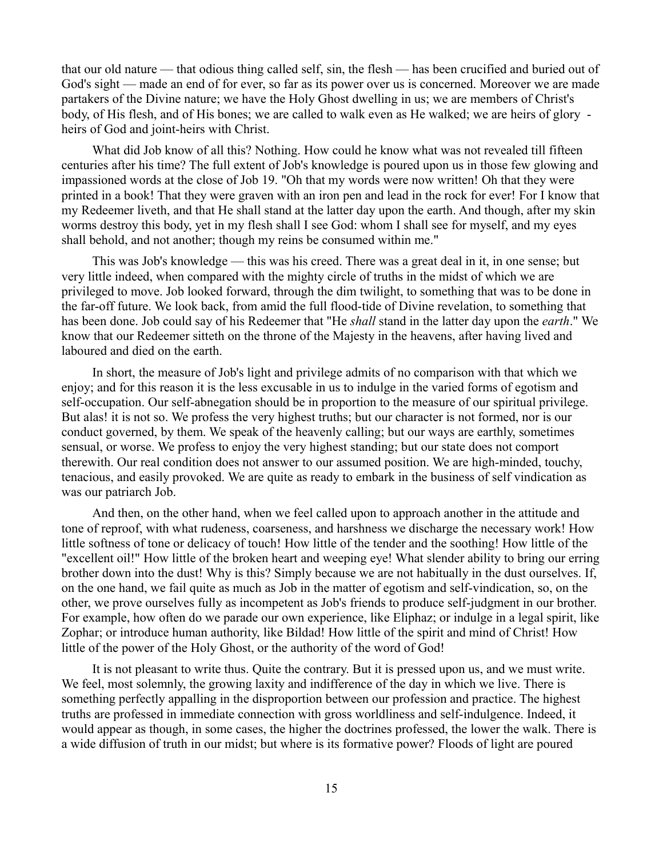that our old nature — that odious thing called self, sin, the flesh — has been crucified and buried out of God's sight — made an end of for ever, so far as its power over us is concerned. Moreover we are made partakers of the Divine nature; we have the Holy Ghost dwelling in us; we are members of Christ's body, of His flesh, and of His bones; we are called to walk even as He walked; we are heirs of glory heirs of God and joint-heirs with Christ.

What did Job know of all this? Nothing. How could he know what was not revealed till fifteen centuries after his time? The full extent of Job's knowledge is poured upon us in those few glowing and impassioned words at the close of Job 19. "Oh that my words were now written! Oh that they were printed in a book! That they were graven with an iron pen and lead in the rock for ever! For I know that my Redeemer liveth, and that He shall stand at the latter day upon the earth. And though, after my skin worms destroy this body, yet in my flesh shall I see God: whom I shall see for myself, and my eyes shall behold, and not another; though my reins be consumed within me."

This was Job's knowledge — this was his creed. There was a great deal in it, in one sense; but very little indeed, when compared with the mighty circle of truths in the midst of which we are privileged to move. Job looked forward, through the dim twilight, to something that was to be done in the far-off future. We look back, from amid the full flood-tide of Divine revelation, to something that has been done. Job could say of his Redeemer that "He *shall* stand in the latter day upon the *earth*." We know that our Redeemer sitteth on the throne of the Majesty in the heavens, after having lived and laboured and died on the earth.

In short, the measure of Job's light and privilege admits of no comparison with that which we enjoy; and for this reason it is the less excusable in us to indulge in the varied forms of egotism and self-occupation. Our self-abnegation should be in proportion to the measure of our spiritual privilege. But alas! it is not so. We profess the very highest truths; but our character is not formed, nor is our conduct governed, by them. We speak of the heavenly calling; but our ways are earthly, sometimes sensual, or worse. We profess to enjoy the very highest standing; but our state does not comport therewith. Our real condition does not answer to our assumed position. We are high-minded, touchy, tenacious, and easily provoked. We are quite as ready to embark in the business of self vindication as was our patriarch Job.

And then, on the other hand, when we feel called upon to approach another in the attitude and tone of reproof, with what rudeness, coarseness, and harshness we discharge the necessary work! How little softness of tone or delicacy of touch! How little of the tender and the soothing! How little of the "excellent oil!" How little of the broken heart and weeping eye! What slender ability to bring our erring brother down into the dust! Why is this? Simply because we are not habitually in the dust ourselves. If, on the one hand, we fail quite as much as Job in the matter of egotism and self-vindication, so, on the other, we prove ourselves fully as incompetent as Job's friends to produce self-judgment in our brother. For example, how often do we parade our own experience, like Eliphaz; or indulge in a legal spirit, like Zophar; or introduce human authority, like Bildad! How little of the spirit and mind of Christ! How little of the power of the Holy Ghost, or the authority of the word of God!

It is not pleasant to write thus. Quite the contrary. But it is pressed upon us, and we must write. We feel, most solemnly, the growing laxity and indifference of the day in which we live. There is something perfectly appalling in the disproportion between our profession and practice. The highest truths are professed in immediate connection with gross worldliness and self-indulgence. Indeed, it would appear as though, in some cases, the higher the doctrines professed, the lower the walk. There is a wide diffusion of truth in our midst; but where is its formative power? Floods of light are poured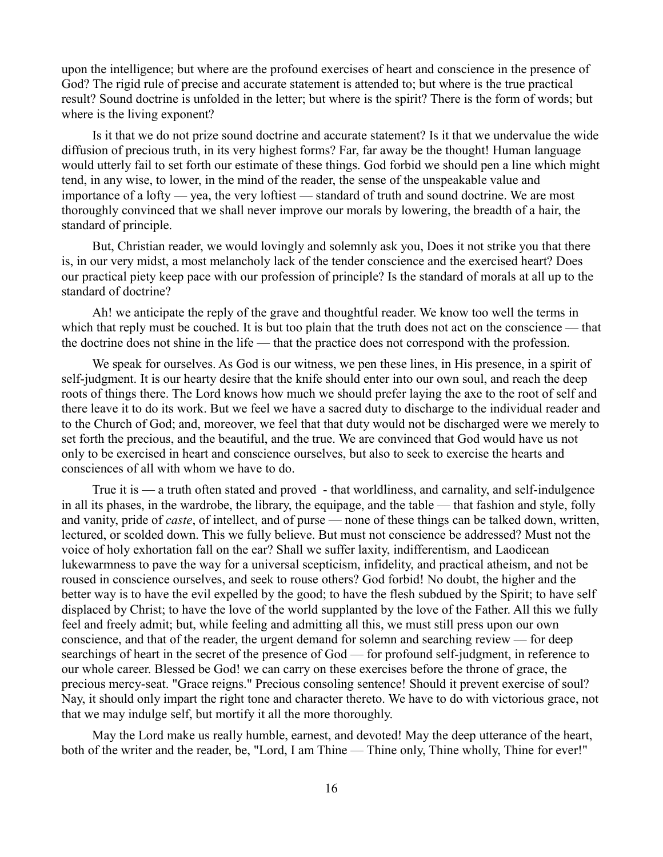upon the intelligence; but where are the profound exercises of heart and conscience in the presence of God? The rigid rule of precise and accurate statement is attended to; but where is the true practical result? Sound doctrine is unfolded in the letter; but where is the spirit? There is the form of words; but where is the living exponent?

Is it that we do not prize sound doctrine and accurate statement? Is it that we undervalue the wide diffusion of precious truth, in its very highest forms? Far, far away be the thought! Human language would utterly fail to set forth our estimate of these things. God forbid we should pen a line which might tend, in any wise, to lower, in the mind of the reader, the sense of the unspeakable value and importance of a lofty — yea, the very loftiest — standard of truth and sound doctrine. We are most thoroughly convinced that we shall never improve our morals by lowering, the breadth of a hair, the standard of principle.

But, Christian reader, we would lovingly and solemnly ask you, Does it not strike you that there is, in our very midst, a most melancholy lack of the tender conscience and the exercised heart? Does our practical piety keep pace with our profession of principle? Is the standard of morals at all up to the standard of doctrine?

Ah! we anticipate the reply of the grave and thoughtful reader. We know too well the terms in which that reply must be couched. It is but too plain that the truth does not act on the conscience — that the doctrine does not shine in the life — that the practice does not correspond with the profession.

We speak for ourselves. As God is our witness, we pen these lines, in His presence, in a spirit of self-judgment. It is our hearty desire that the knife should enter into our own soul, and reach the deep roots of things there. The Lord knows how much we should prefer laying the axe to the root of self and there leave it to do its work. But we feel we have a sacred duty to discharge to the individual reader and to the Church of God; and, moreover, we feel that that duty would not be discharged were we merely to set forth the precious, and the beautiful, and the true. We are convinced that God would have us not only to be exercised in heart and conscience ourselves, but also to seek to exercise the hearts and consciences of all with whom we have to do.

True it is — a truth often stated and proved - that worldliness, and carnality, and self-indulgence in all its phases, in the wardrobe, the library, the equipage, and the table — that fashion and style, folly and vanity, pride of *caste*, of intellect, and of purse — none of these things can be talked down, written, lectured, or scolded down. This we fully believe. But must not conscience be addressed? Must not the voice of holy exhortation fall on the ear? Shall we suffer laxity, indifferentism, and Laodicean lukewarmness to pave the way for a universal scepticism, infidelity, and practical atheism, and not be roused in conscience ourselves, and seek to rouse others? God forbid! No doubt, the higher and the better way is to have the evil expelled by the good; to have the flesh subdued by the Spirit; to have self displaced by Christ; to have the love of the world supplanted by the love of the Father. All this we fully feel and freely admit; but, while feeling and admitting all this, we must still press upon our own conscience, and that of the reader, the urgent demand for solemn and searching review — for deep searchings of heart in the secret of the presence of God — for profound self-judgment, in reference to our whole career. Blessed be God! we can carry on these exercises before the throne of grace, the precious mercy-seat. "Grace reigns." Precious consoling sentence! Should it prevent exercise of soul? Nay, it should only impart the right tone and character thereto. We have to do with victorious grace, not that we may indulge self, but mortify it all the more thoroughly.

May the Lord make us really humble, earnest, and devoted! May the deep utterance of the heart, both of the writer and the reader, be, "Lord, I am Thine — Thine only, Thine wholly, Thine for ever!"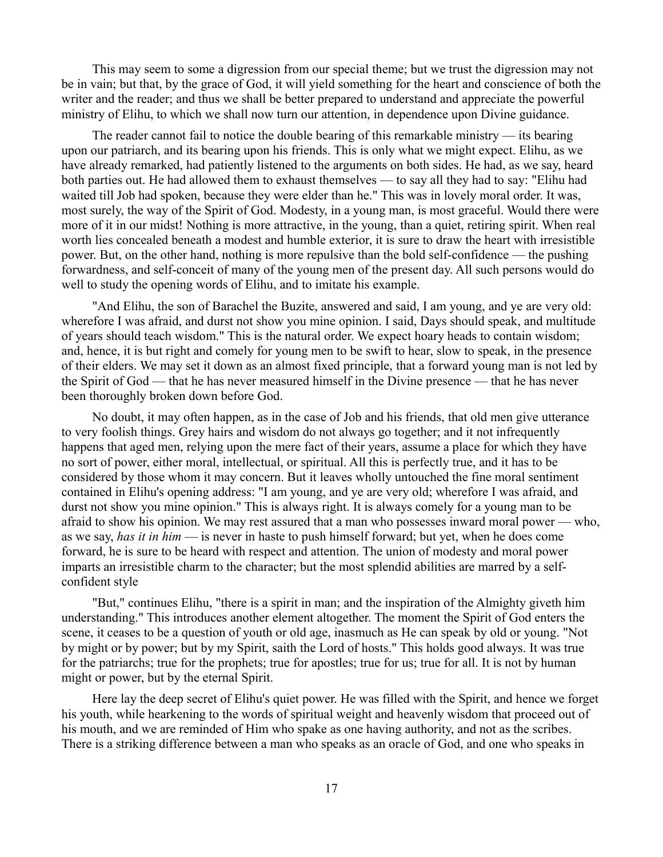This may seem to some a digression from our special theme; but we trust the digression may not be in vain; but that, by the grace of God, it will yield something for the heart and conscience of both the writer and the reader; and thus we shall be better prepared to understand and appreciate the powerful ministry of Elihu, to which we shall now turn our attention, in dependence upon Divine guidance.

The reader cannot fail to notice the double bearing of this remarkable ministry — its bearing upon our patriarch, and its bearing upon his friends. This is only what we might expect. Elihu, as we have already remarked, had patiently listened to the arguments on both sides. He had, as we say, heard both parties out. He had allowed them to exhaust themselves — to say all they had to say: "Elihu had waited till Job had spoken, because they were elder than he." This was in lovely moral order. It was, most surely, the way of the Spirit of God. Modesty, in a young man, is most graceful. Would there were more of it in our midst! Nothing is more attractive, in the young, than a quiet, retiring spirit. When real worth lies concealed beneath a modest and humble exterior, it is sure to draw the heart with irresistible power. But, on the other hand, nothing is more repulsive than the bold self-confidence — the pushing forwardness, and self-conceit of many of the young men of the present day. All such persons would do well to study the opening words of Elihu, and to imitate his example.

"And Elihu, the son of Barachel the Buzite, answered and said, I am young, and ye are very old: wherefore I was afraid, and durst not show you mine opinion. I said, Days should speak, and multitude of years should teach wisdom." This is the natural order. We expect hoary heads to contain wisdom; and, hence, it is but right and comely for young men to be swift to hear, slow to speak, in the presence of their elders. We may set it down as an almost fixed principle, that a forward young man is not led by the Spirit of God — that he has never measured himself in the Divine presence — that he has never been thoroughly broken down before God.

No doubt, it may often happen, as in the case of Job and his friends, that old men give utterance to very foolish things. Grey hairs and wisdom do not always go together; and it not infrequently happens that aged men, relying upon the mere fact of their years, assume a place for which they have no sort of power, either moral, intellectual, or spiritual. All this is perfectly true, and it has to be considered by those whom it may concern. But it leaves wholly untouched the fine moral sentiment contained in Elihu's opening address: "I am young, and ye are very old; wherefore I was afraid, and durst not show you mine opinion." This is always right. It is always comely for a young man to be afraid to show his opinion. We may rest assured that a man who possesses inward moral power — who, as we say, *has it in him* — is never in haste to push himself forward; but yet, when he does come forward, he is sure to be heard with respect and attention. The union of modesty and moral power imparts an irresistible charm to the character; but the most splendid abilities are marred by a selfconfident style

"But," continues Elihu, "there is a spirit in man; and the inspiration of the Almighty giveth him understanding." This introduces another element altogether. The moment the Spirit of God enters the scene, it ceases to be a question of youth or old age, inasmuch as He can speak by old or young. "Not by might or by power; but by my Spirit, saith the Lord of hosts." This holds good always. It was true for the patriarchs; true for the prophets; true for apostles; true for us; true for all. It is not by human might or power, but by the eternal Spirit.

Here lay the deep secret of Elihu's quiet power. He was filled with the Spirit, and hence we forget his youth, while hearkening to the words of spiritual weight and heavenly wisdom that proceed out of his mouth, and we are reminded of Him who spake as one having authority, and not as the scribes. There is a striking difference between a man who speaks as an oracle of God, and one who speaks in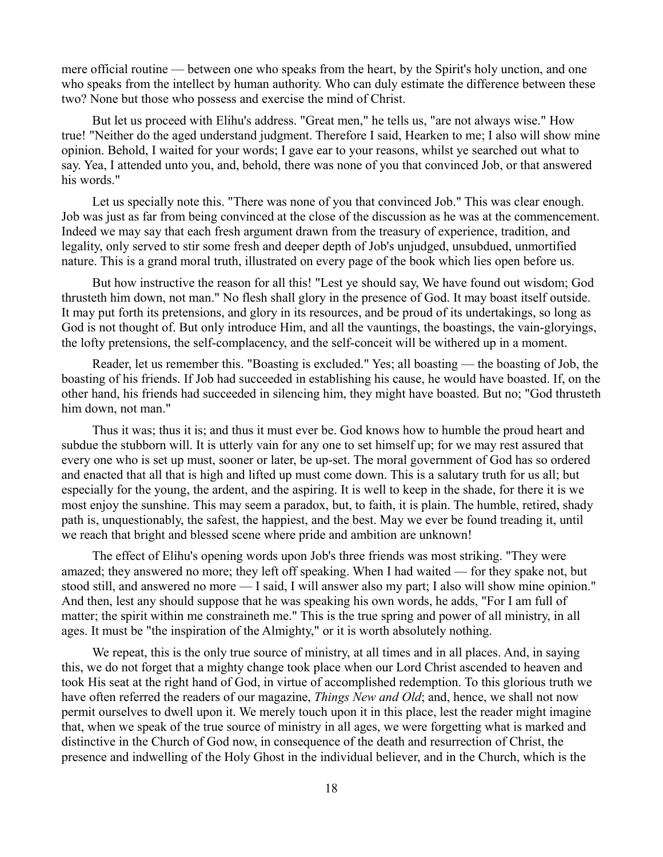mere official routine — between one who speaks from the heart, by the Spirit's holy unction, and one who speaks from the intellect by human authority. Who can duly estimate the difference between these two? None but those who possess and exercise the mind of Christ.

But let us proceed with Elihu's address. "Great men," he tells us, "are not always wise." How true! "Neither do the aged understand judgment. Therefore I said, Hearken to me; I also will show mine opinion. Behold, I waited for your words; I gave ear to your reasons, whilst ye searched out what to say. Yea, I attended unto you, and, behold, there was none of you that convinced Job, or that answered his words."

Let us specially note this. "There was none of you that convinced Job." This was clear enough. Job was just as far from being convinced at the close of the discussion as he was at the commencement. Indeed we may say that each fresh argument drawn from the treasury of experience, tradition, and legality, only served to stir some fresh and deeper depth of Job's unjudged, unsubdued, unmortified nature. This is a grand moral truth, illustrated on every page of the book which lies open before us.

But how instructive the reason for all this! "Lest ye should say, We have found out wisdom; God thrusteth him down, not man." No flesh shall glory in the presence of God. It may boast itself outside. It may put forth its pretensions, and glory in its resources, and be proud of its undertakings, so long as God is not thought of. But only introduce Him, and all the vauntings, the boastings, the vain-gloryings, the lofty pretensions, the self-complacency, and the self-conceit will be withered up in a moment.

Reader, let us remember this. "Boasting is excluded." Yes; all boasting — the boasting of Job, the boasting of his friends. If Job had succeeded in establishing his cause, he would have boasted. If, on the other hand, his friends had succeeded in silencing him, they might have boasted. But no; "God thrusteth him down, not man."

Thus it was; thus it is; and thus it must ever be. God knows how to humble the proud heart and subdue the stubborn will. It is utterly vain for any one to set himself up; for we may rest assured that every one who is set up must, sooner or later, be up-set. The moral government of God has so ordered and enacted that all that is high and lifted up must come down. This is a salutary truth for us all; but especially for the young, the ardent, and the aspiring. It is well to keep in the shade, for there it is we most enjoy the sunshine. This may seem a paradox, but, to faith, it is plain. The humble, retired, shady path is, unquestionably, the safest, the happiest, and the best. May we ever be found treading it, until we reach that bright and blessed scene where pride and ambition are unknown!

The effect of Elihu's opening words upon Job's three friends was most striking. "They were amazed; they answered no more; they left off speaking. When I had waited — for they spake not, but stood still, and answered no more — I said, I will answer also my part; I also will show mine opinion." And then, lest any should suppose that he was speaking his own words, he adds, "For I am full of matter; the spirit within me constraineth me." This is the true spring and power of all ministry, in all ages. It must be "the inspiration of the Almighty," or it is worth absolutely nothing.

We repeat, this is the only true source of ministry, at all times and in all places. And, in saying this, we do not forget that a mighty change took place when our Lord Christ ascended to heaven and took His seat at the right hand of God, in virtue of accomplished redemption. To this glorious truth we have often referred the readers of our magazine, *Things New and Old*; and, hence, we shall not now permit ourselves to dwell upon it. We merely touch upon it in this place, lest the reader might imagine that, when we speak of the true source of ministry in all ages, we were forgetting what is marked and distinctive in the Church of God now, in consequence of the death and resurrection of Christ, the presence and indwelling of the Holy Ghost in the individual believer, and in the Church, which is the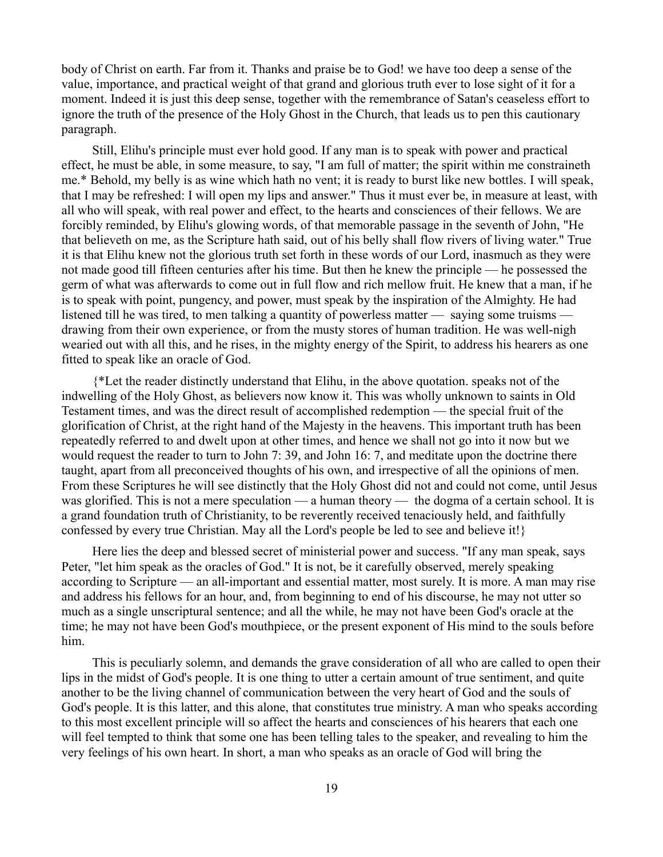body of Christ on earth. Far from it. Thanks and praise be to God! we have too deep a sense of the value, importance, and practical weight of that grand and glorious truth ever to lose sight of it for a moment. Indeed it is just this deep sense, together with the remembrance of Satan's ceaseless effort to ignore the truth of the presence of the Holy Ghost in the Church, that leads us to pen this cautionary paragraph.

Still, Elihu's principle must ever hold good. If any man is to speak with power and practical effect, he must be able, in some measure, to say, "I am full of matter; the spirit within me constraineth me.\* Behold, my belly is as wine which hath no vent; it is ready to burst like new bottles. I will speak, that I may be refreshed: I will open my lips and answer." Thus it must ever be, in measure at least, with all who will speak, with real power and effect, to the hearts and consciences of their fellows. We are forcibly reminded, by Elihu's glowing words, of that memorable passage in the seventh of John, "He that believeth on me, as the Scripture hath said, out of his belly shall flow rivers of living water." True it is that Elihu knew not the glorious truth set forth in these words of our Lord, inasmuch as they were not made good till fifteen centuries after his time. But then he knew the principle — he possessed the germ of what was afterwards to come out in full flow and rich mellow fruit. He knew that a man, if he is to speak with point, pungency, and power, must speak by the inspiration of the Almighty. He had listened till he was tired, to men talking a quantity of powerless matter — saying some truisms drawing from their own experience, or from the musty stores of human tradition. He was well-nigh wearied out with all this, and he rises, in the mighty energy of the Spirit, to address his hearers as one fitted to speak like an oracle of God.

{\*Let the reader distinctly understand that Elihu, in the above quotation. speaks not of the indwelling of the Holy Ghost, as believers now know it. This was wholly unknown to saints in Old Testament times, and was the direct result of accomplished redemption — the special fruit of the glorification of Christ, at the right hand of the Majesty in the heavens. This important truth has been repeatedly referred to and dwelt upon at other times, and hence we shall not go into it now but we would request the reader to turn to John 7: 39, and John 16: 7, and meditate upon the doctrine there taught, apart from all preconceived thoughts of his own, and irrespective of all the opinions of men. From these Scriptures he will see distinctly that the Holy Ghost did not and could not come, until Jesus was glorified. This is not a mere speculation — a human theory — the dogma of a certain school. It is a grand foundation truth of Christianity, to be reverently received tenaciously held, and faithfully confessed by every true Christian. May all the Lord's people be led to see and believe it!}

Here lies the deep and blessed secret of ministerial power and success. "If any man speak, says Peter, "let him speak as the oracles of God." It is not, be it carefully observed, merely speaking according to Scripture — an all-important and essential matter, most surely. It is more. A man may rise and address his fellows for an hour, and, from beginning to end of his discourse, he may not utter so much as a single unscriptural sentence; and all the while, he may not have been God's oracle at the time; he may not have been God's mouthpiece, or the present exponent of His mind to the souls before him.

This is peculiarly solemn, and demands the grave consideration of all who are called to open their lips in the midst of God's people. It is one thing to utter a certain amount of true sentiment, and quite another to be the living channel of communication between the very heart of God and the souls of God's people. It is this latter, and this alone, that constitutes true ministry. A man who speaks according to this most excellent principle will so affect the hearts and consciences of his hearers that each one will feel tempted to think that some one has been telling tales to the speaker, and revealing to him the very feelings of his own heart. In short, a man who speaks as an oracle of God will bring the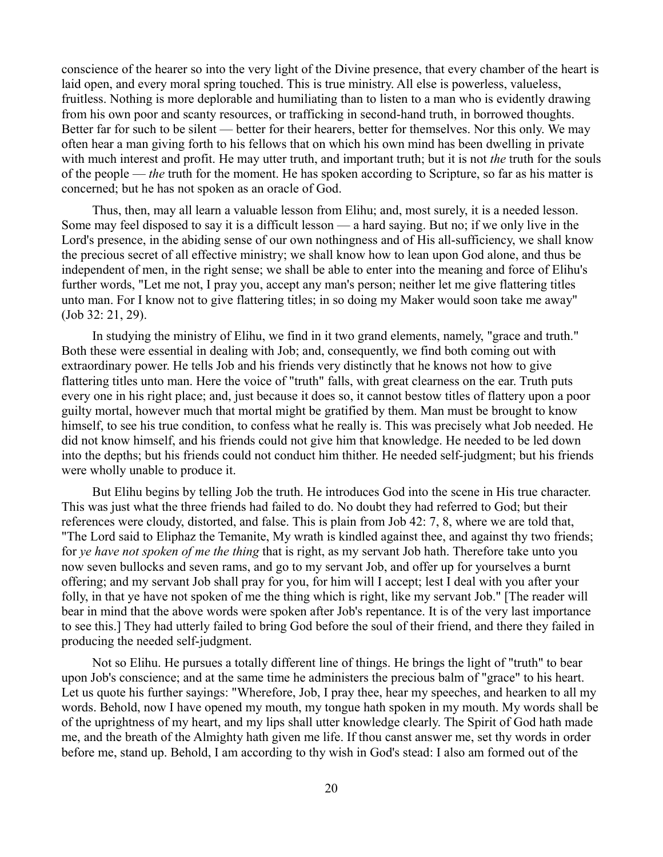conscience of the hearer so into the very light of the Divine presence, that every chamber of the heart is laid open, and every moral spring touched. This is true ministry. All else is powerless, valueless, fruitless. Nothing is more deplorable and humiliating than to listen to a man who is evidently drawing from his own poor and scanty resources, or trafficking in second-hand truth, in borrowed thoughts. Better far for such to be silent — better for their hearers, better for themselves. Nor this only. We may often hear a man giving forth to his fellows that on which his own mind has been dwelling in private with much interest and profit. He may utter truth, and important truth; but it is not *the* truth for the souls of the people — *the* truth for the moment. He has spoken according to Scripture, so far as his matter is concerned; but he has not spoken as an oracle of God.

Thus, then, may all learn a valuable lesson from Elihu; and, most surely, it is a needed lesson. Some may feel disposed to say it is a difficult lesson — a hard saying. But no; if we only live in the Lord's presence, in the abiding sense of our own nothingness and of His all-sufficiency, we shall know the precious secret of all effective ministry; we shall know how to lean upon God alone, and thus be independent of men, in the right sense; we shall be able to enter into the meaning and force of Elihu's further words, "Let me not, I pray you, accept any man's person; neither let me give flattering titles unto man. For I know not to give flattering titles; in so doing my Maker would soon take me away" (Job 32: 21, 29).

In studying the ministry of Elihu, we find in it two grand elements, namely, "grace and truth." Both these were essential in dealing with Job; and, consequently, we find both coming out with extraordinary power. He tells Job and his friends very distinctly that he knows not how to give flattering titles unto man. Here the voice of "truth" falls, with great clearness on the ear. Truth puts every one in his right place; and, just because it does so, it cannot bestow titles of flattery upon a poor guilty mortal, however much that mortal might be gratified by them. Man must be brought to know himself, to see his true condition, to confess what he really is. This was precisely what Job needed. He did not know himself, and his friends could not give him that knowledge. He needed to be led down into the depths; but his friends could not conduct him thither. He needed self-judgment; but his friends were wholly unable to produce it.

But Elihu begins by telling Job the truth. He introduces God into the scene in His true character. This was just what the three friends had failed to do. No doubt they had referred to God; but their references were cloudy, distorted, and false. This is plain from Job 42: 7, 8, where we are told that, "The Lord said to Eliphaz the Temanite, My wrath is kindled against thee, and against thy two friends; for *ye have not spoken of me the thing* that is right, as my servant Job hath. Therefore take unto you now seven bullocks and seven rams, and go to my servant Job, and offer up for yourselves a burnt offering; and my servant Job shall pray for you, for him will I accept; lest I deal with you after your folly, in that ye have not spoken of me the thing which is right, like my servant Job." [The reader will bear in mind that the above words were spoken after Job's repentance. It is of the very last importance to see this.] They had utterly failed to bring God before the soul of their friend, and there they failed in producing the needed self-judgment.

Not so Elihu. He pursues a totally different line of things. He brings the light of "truth" to bear upon Job's conscience; and at the same time he administers the precious balm of "grace" to his heart. Let us quote his further sayings: "Wherefore, Job, I pray thee, hear my speeches, and hearken to all my words. Behold, now I have opened my mouth, my tongue hath spoken in my mouth. My words shall be of the uprightness of my heart, and my lips shall utter knowledge clearly. The Spirit of God hath made me, and the breath of the Almighty hath given me life. If thou canst answer me, set thy words in order before me, stand up. Behold, I am according to thy wish in God's stead: I also am formed out of the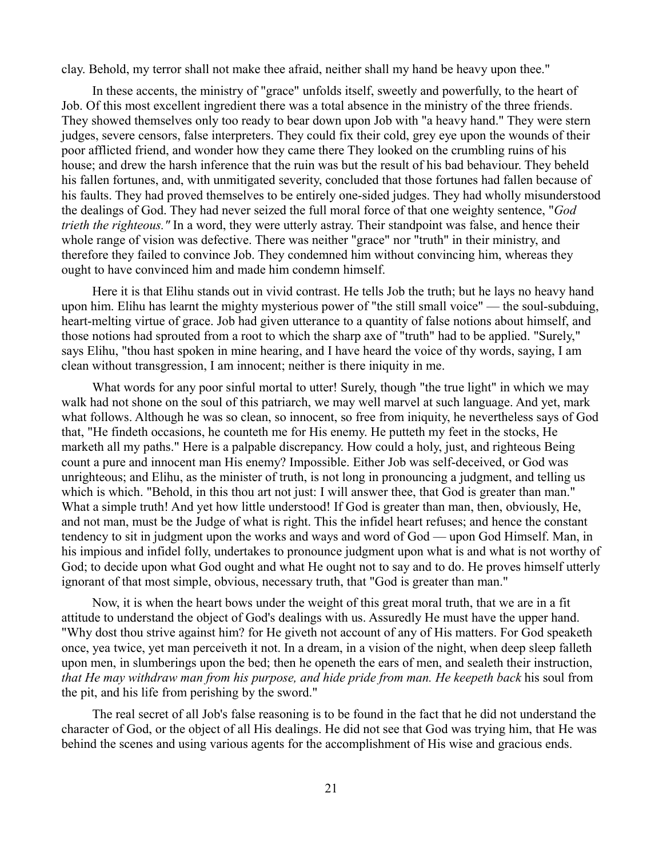clay. Behold, my terror shall not make thee afraid, neither shall my hand be heavy upon thee."

In these accents, the ministry of "grace" unfolds itself, sweetly and powerfully, to the heart of Job. Of this most excellent ingredient there was a total absence in the ministry of the three friends. They showed themselves only too ready to bear down upon Job with "a heavy hand." They were stern judges, severe censors, false interpreters. They could fix their cold, grey eye upon the wounds of their poor afflicted friend, and wonder how they came there They looked on the crumbling ruins of his house; and drew the harsh inference that the ruin was but the result of his bad behaviour. They beheld his fallen fortunes, and, with unmitigated severity, concluded that those fortunes had fallen because of his faults. They had proved themselves to be entirely one-sided judges. They had wholly misunderstood the dealings of God. They had never seized the full moral force of that one weighty sentence, "*God trieth the righteous."* In a word, they were utterly astray. Their standpoint was false, and hence their whole range of vision was defective. There was neither "grace" nor "truth" in their ministry, and therefore they failed to convince Job. They condemned him without convincing him, whereas they ought to have convinced him and made him condemn himself.

Here it is that Elihu stands out in vivid contrast. He tells Job the truth; but he lays no heavy hand upon him. Elihu has learnt the mighty mysterious power of "the still small voice" — the soul-subduing, heart-melting virtue of grace. Job had given utterance to a quantity of false notions about himself, and those notions had sprouted from a root to which the sharp axe of "truth" had to be applied. "Surely," says Elihu, "thou hast spoken in mine hearing, and I have heard the voice of thy words, saying, I am clean without transgression, I am innocent; neither is there iniquity in me.

What words for any poor sinful mortal to utter! Surely, though "the true light" in which we may walk had not shone on the soul of this patriarch, we may well marvel at such language. And yet, mark what follows. Although he was so clean, so innocent, so free from iniquity, he nevertheless says of God that, "He findeth occasions, he counteth me for His enemy. He putteth my feet in the stocks, He marketh all my paths." Here is a palpable discrepancy. How could a holy, just, and righteous Being count a pure and innocent man His enemy? Impossible. Either Job was self-deceived, or God was unrighteous; and Elihu, as the minister of truth, is not long in pronouncing a judgment, and telling us which is which. "Behold, in this thou art not just: I will answer thee, that God is greater than man." What a simple truth! And yet how little understood! If God is greater than man, then, obviously, He, and not man, must be the Judge of what is right. This the infidel heart refuses; and hence the constant tendency to sit in judgment upon the works and ways and word of God — upon God Himself. Man, in his impious and infidel folly, undertakes to pronounce judgment upon what is and what is not worthy of God; to decide upon what God ought and what He ought not to say and to do. He proves himself utterly ignorant of that most simple, obvious, necessary truth, that "God is greater than man."

Now, it is when the heart bows under the weight of this great moral truth, that we are in a fit attitude to understand the object of God's dealings with us. Assuredly He must have the upper hand. "Why dost thou strive against him? for He giveth not account of any of His matters. For God speaketh once, yea twice, yet man perceiveth it not. In a dream, in a vision of the night, when deep sleep falleth upon men, in slumberings upon the bed; then he openeth the ears of men, and sealeth their instruction, *that He may withdraw man from his purpose, and hide pride from man. He keepeth back* his soul from the pit, and his life from perishing by the sword."

The real secret of all Job's false reasoning is to be found in the fact that he did not understand the character of God, or the object of all His dealings. He did not see that God was trying him, that He was behind the scenes and using various agents for the accomplishment of His wise and gracious ends.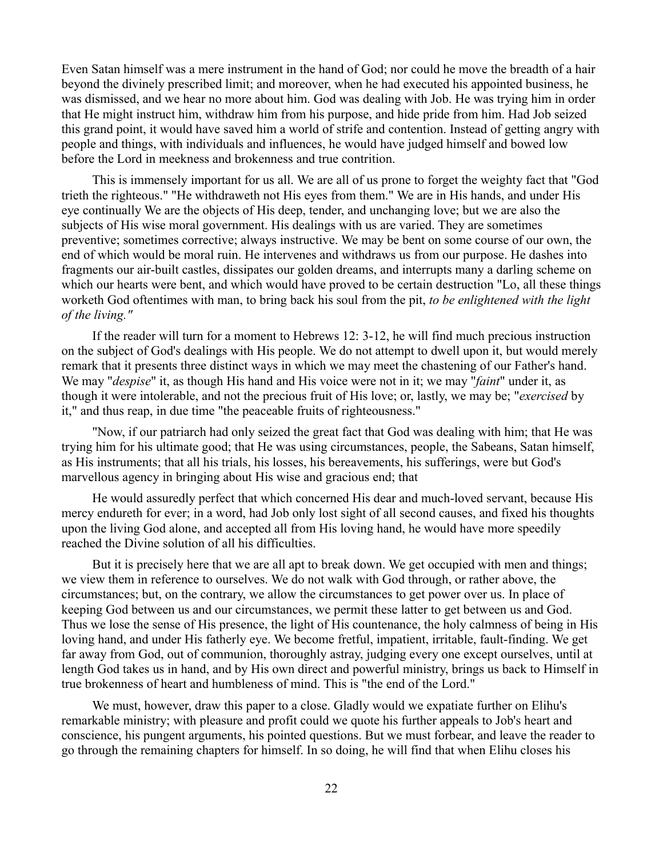Even Satan himself was a mere instrument in the hand of God; nor could he move the breadth of a hair beyond the divinely prescribed limit; and moreover, when he had executed his appointed business, he was dismissed, and we hear no more about him. God was dealing with Job. He was trying him in order that He might instruct him, withdraw him from his purpose, and hide pride from him. Had Job seized this grand point, it would have saved him a world of strife and contention. Instead of getting angry with people and things, with individuals and influences, he would have judged himself and bowed low before the Lord in meekness and brokenness and true contrition.

This is immensely important for us all. We are all of us prone to forget the weighty fact that "God trieth the righteous." "He withdraweth not His eyes from them." We are in His hands, and under His eye continually We are the objects of His deep, tender, and unchanging love; but we are also the subjects of His wise moral government. His dealings with us are varied. They are sometimes preventive; sometimes corrective; always instructive. We may be bent on some course of our own, the end of which would be moral ruin. He intervenes and withdraws us from our purpose. He dashes into fragments our air-built castles, dissipates our golden dreams, and interrupts many a darling scheme on which our hearts were bent, and which would have proved to be certain destruction "Lo, all these things worketh God oftentimes with man, to bring back his soul from the pit, *to be enlightened with the light of the living."*

If the reader will turn for a moment to Hebrews 12: 3-12, he will find much precious instruction on the subject of God's dealings with His people. We do not attempt to dwell upon it, but would merely remark that it presents three distinct ways in which we may meet the chastening of our Father's hand. We may "*despise*" it, as though His hand and His voice were not in it; we may "*faint*" under it, as though it were intolerable, and not the precious fruit of His love; or, lastly, we may be; "*exercised* by it," and thus reap, in due time "the peaceable fruits of righteousness."

"Now, if our patriarch had only seized the great fact that God was dealing with him; that He was trying him for his ultimate good; that He was using circumstances, people, the Sabeans, Satan himself, as His instruments; that all his trials, his losses, his bereavements, his sufferings, were but God's marvellous agency in bringing about His wise and gracious end; that

He would assuredly perfect that which concerned His dear and much-loved servant, because His mercy endureth for ever; in a word, had Job only lost sight of all second causes, and fixed his thoughts upon the living God alone, and accepted all from His loving hand, he would have more speedily reached the Divine solution of all his difficulties.

But it is precisely here that we are all apt to break down. We get occupied with men and things; we view them in reference to ourselves. We do not walk with God through, or rather above, the circumstances; but, on the contrary, we allow the circumstances to get power over us. In place of keeping God between us and our circumstances, we permit these latter to get between us and God. Thus we lose the sense of His presence, the light of His countenance, the holy calmness of being in His loving hand, and under His fatherly eye. We become fretful, impatient, irritable, fault-finding. We get far away from God, out of communion, thoroughly astray, judging every one except ourselves, until at length God takes us in hand, and by His own direct and powerful ministry, brings us back to Himself in true brokenness of heart and humbleness of mind. This is "the end of the Lord."

We must, however, draw this paper to a close. Gladly would we expatiate further on Elihu's remarkable ministry; with pleasure and profit could we quote his further appeals to Job's heart and conscience, his pungent arguments, his pointed questions. But we must forbear, and leave the reader to go through the remaining chapters for himself. In so doing, he will find that when Elihu closes his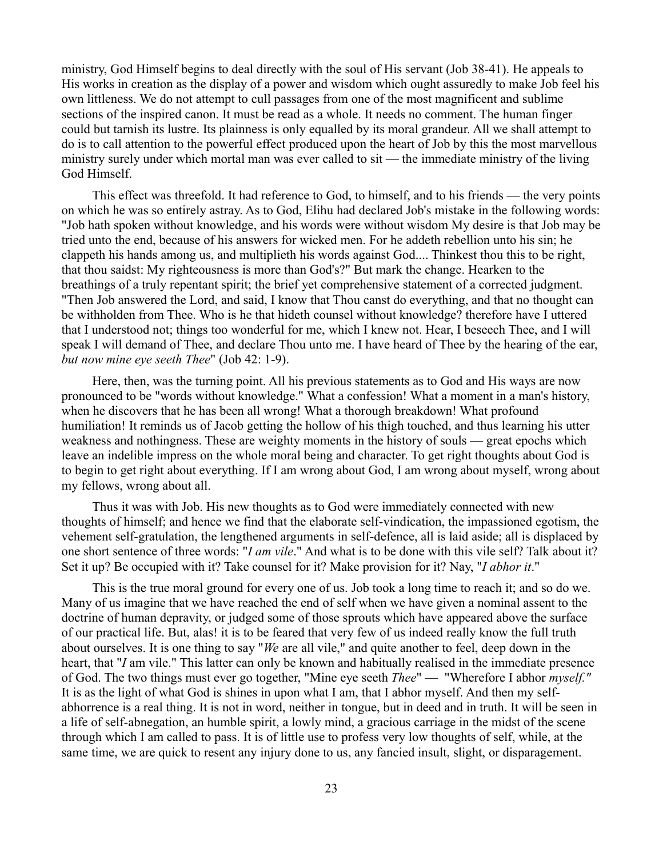ministry, God Himself begins to deal directly with the soul of His servant (Job 38-41). He appeals to His works in creation as the display of a power and wisdom which ought assuredly to make Job feel his own littleness. We do not attempt to cull passages from one of the most magnificent and sublime sections of the inspired canon. It must be read as a whole. It needs no comment. The human finger could but tarnish its lustre. Its plainness is only equalled by its moral grandeur. All we shall attempt to do is to call attention to the powerful effect produced upon the heart of Job by this the most marvellous ministry surely under which mortal man was ever called to sit — the immediate ministry of the living God Himself.

This effect was threefold. It had reference to God, to himself, and to his friends — the very points on which he was so entirely astray. As to God, Elihu had declared Job's mistake in the following words: "Job hath spoken without knowledge, and his words were without wisdom My desire is that Job may be tried unto the end, because of his answers for wicked men. For he addeth rebellion unto his sin; he clappeth his hands among us, and multiplieth his words against God.... Thinkest thou this to be right, that thou saidst: My righteousness is more than God's?" But mark the change. Hearken to the breathings of a truly repentant spirit; the brief yet comprehensive statement of a corrected judgment. "Then Job answered the Lord, and said, I know that Thou canst do everything, and that no thought can be withholden from Thee. Who is he that hideth counsel without knowledge? therefore have I uttered that I understood not; things too wonderful for me, which I knew not. Hear, I beseech Thee, and I will speak I will demand of Thee, and declare Thou unto me. I have heard of Thee by the hearing of the ear, *but now mine eye seeth Thee*" (Job 42: 1-9).

Here, then, was the turning point. All his previous statements as to God and His ways are now pronounced to be "words without knowledge." What a confession! What a moment in a man's history, when he discovers that he has been all wrong! What a thorough breakdown! What profound humiliation! It reminds us of Jacob getting the hollow of his thigh touched, and thus learning his utter weakness and nothingness. These are weighty moments in the history of souls — great epochs which leave an indelible impress on the whole moral being and character. To get right thoughts about God is to begin to get right about everything. If I am wrong about God, I am wrong about myself, wrong about my fellows, wrong about all.

Thus it was with Job. His new thoughts as to God were immediately connected with new thoughts of himself; and hence we find that the elaborate self-vindication, the impassioned egotism, the vehement self-gratulation, the lengthened arguments in self-defence, all is laid aside; all is displaced by one short sentence of three words: "*I am vile*." And what is to be done with this vile self? Talk about it? Set it up? Be occupied with it? Take counsel for it? Make provision for it? Nay, "*I abhor it*."

This is the true moral ground for every one of us. Job took a long time to reach it; and so do we. Many of us imagine that we have reached the end of self when we have given a nominal assent to the doctrine of human depravity, or judged some of those sprouts which have appeared above the surface of our practical life. But, alas! it is to be feared that very few of us indeed really know the full truth about ourselves. It is one thing to say "*We* are all vile," and quite another to feel, deep down in the heart, that "*I* am vile." This latter can only be known and habitually realised in the immediate presence of God. The two things must ever go together, "Mine eye seeth *Thee*" — "Wherefore I abhor *myself."* It is as the light of what God is shines in upon what I am, that I abhor myself. And then my selfabhorrence is a real thing. It is not in word, neither in tongue, but in deed and in truth. It will be seen in a life of self-abnegation, an humble spirit, a lowly mind, a gracious carriage in the midst of the scene through which I am called to pass. It is of little use to profess very low thoughts of self, while, at the same time, we are quick to resent any injury done to us, any fancied insult, slight, or disparagement.